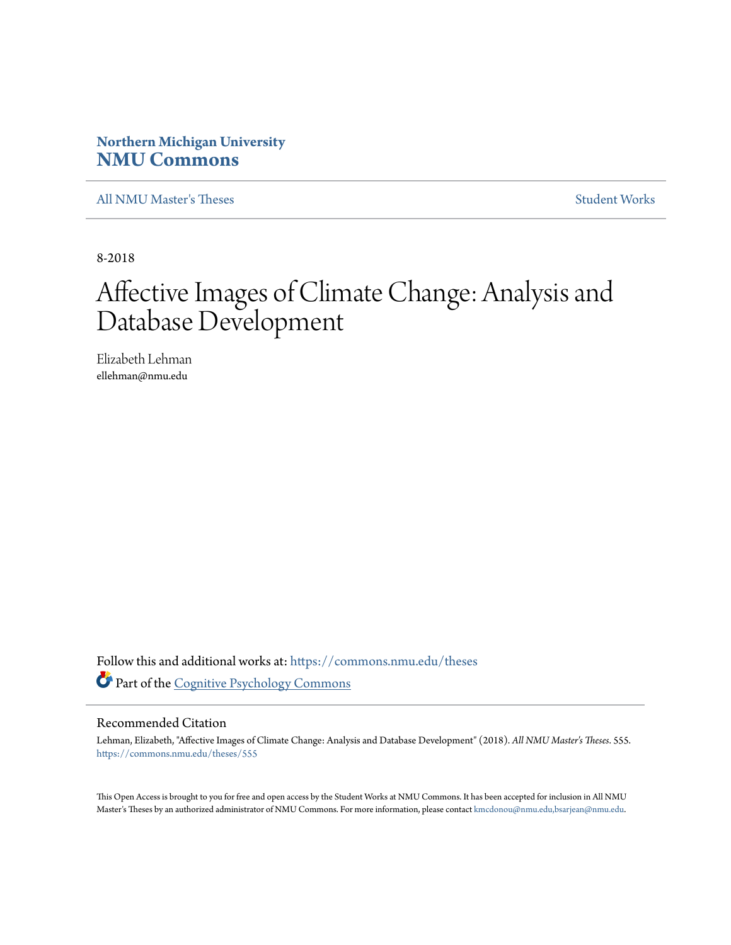## **Northern Michigan University [NMU Commons](https://commons.nmu.edu?utm_source=commons.nmu.edu%2Ftheses%2F555&utm_medium=PDF&utm_campaign=PDFCoverPages)**

[All NMU Master's Theses](https://commons.nmu.edu/theses?utm_source=commons.nmu.edu%2Ftheses%2F555&utm_medium=PDF&utm_campaign=PDFCoverPages) [Student Works](https://commons.nmu.edu/student_works?utm_source=commons.nmu.edu%2Ftheses%2F555&utm_medium=PDF&utm_campaign=PDFCoverPages)

8-2018

# Affective Images of Climate Change: Analysis and Database Development

Elizabeth Lehman ellehman@nmu.edu

Follow this and additional works at: [https://commons.nmu.edu/theses](https://commons.nmu.edu/theses?utm_source=commons.nmu.edu%2Ftheses%2F555&utm_medium=PDF&utm_campaign=PDFCoverPages) Part of the [Cognitive Psychology Commons](http://network.bepress.com/hgg/discipline/408?utm_source=commons.nmu.edu%2Ftheses%2F555&utm_medium=PDF&utm_campaign=PDFCoverPages)

#### Recommended Citation

Lehman, Elizabeth, "Affective Images of Climate Change: Analysis and Database Development" (2018). *All NMU Master's Theses*. 555. [https://commons.nmu.edu/theses/555](https://commons.nmu.edu/theses/555?utm_source=commons.nmu.edu%2Ftheses%2F555&utm_medium=PDF&utm_campaign=PDFCoverPages)

This Open Access is brought to you for free and open access by the Student Works at NMU Commons. It has been accepted for inclusion in All NMU Master's Theses by an authorized administrator of NMU Commons. For more information, please contact [kmcdonou@nmu.edu,bsarjean@nmu.edu.](mailto:kmcdonou@nmu.edu,bsarjean@nmu.edu)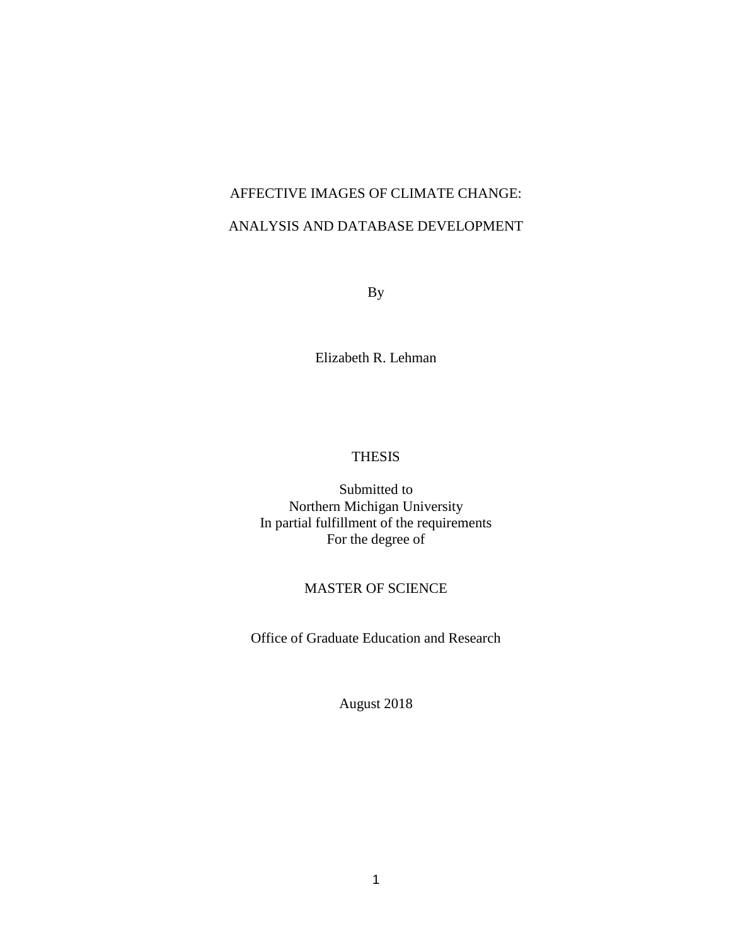## AFFECTIVE IMAGES OF CLIMATE CHANGE: ANALYSIS AND DATABASE DEVELOPMENT

By

Elizabeth R. Lehman

### THESIS

Submitted to Northern Michigan University In partial fulfillment of the requirements For the degree of

#### MASTER OF SCIENCE

Office of Graduate Education and Research

August 2018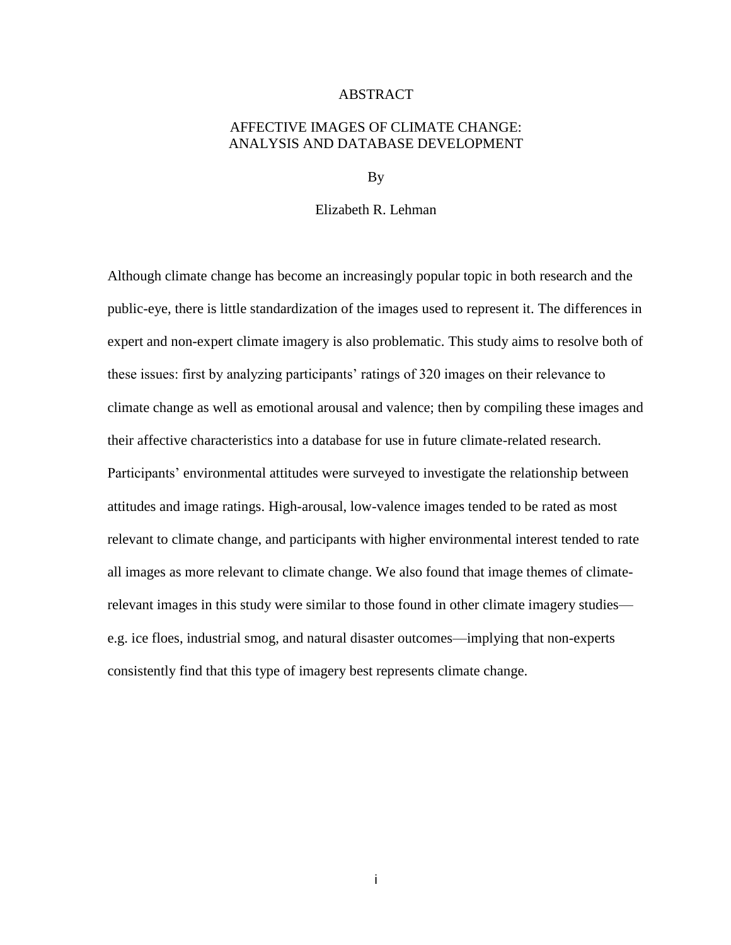#### **ABSTRACT**

#### AFFECTIVE IMAGES OF CLIMATE CHANGE: ANALYSIS AND DATABASE DEVELOPMENT

By

#### Elizabeth R. Lehman

Although climate change has become an increasingly popular topic in both research and the public-eye, there is little standardization of the images used to represent it. The differences in expert and non-expert climate imagery is also problematic. This study aims to resolve both of these issues: first by analyzing participants' ratings of 320 images on their relevance to climate change as well as emotional arousal and valence; then by compiling these images and their affective characteristics into a database for use in future climate-related research. Participants' environmental attitudes were surveyed to investigate the relationship between attitudes and image ratings. High-arousal, low-valence images tended to be rated as most relevant to climate change, and participants with higher environmental interest tended to rate all images as more relevant to climate change. We also found that image themes of climaterelevant images in this study were similar to those found in other climate imagery studies e.g. ice floes, industrial smog, and natural disaster outcomes—implying that non-experts consistently find that this type of imagery best represents climate change.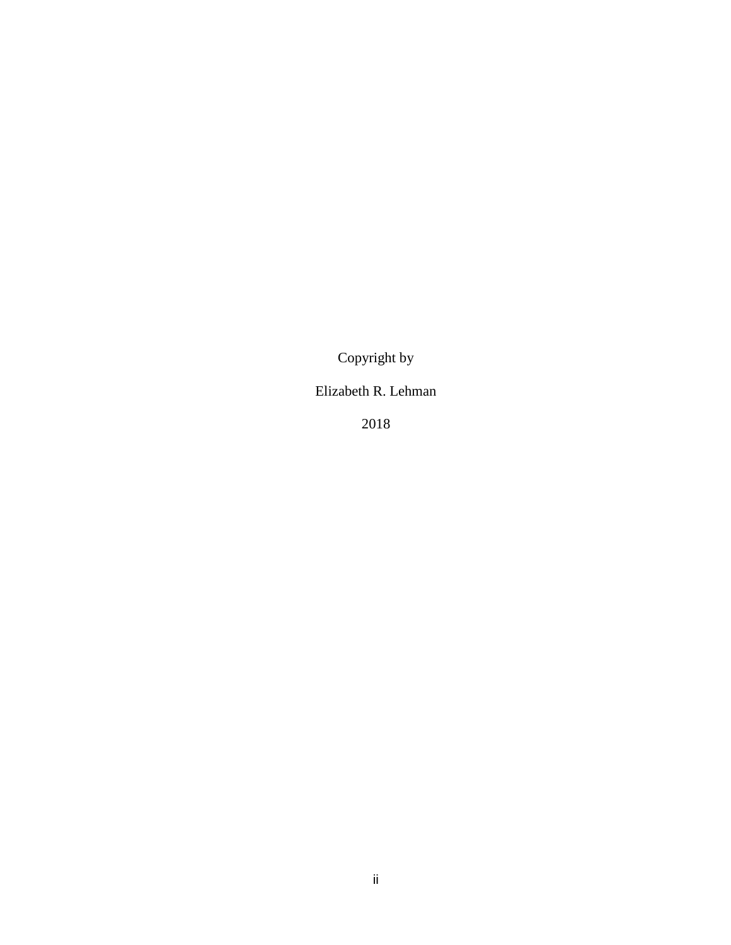Copyright by

## Elizabeth R. Lehman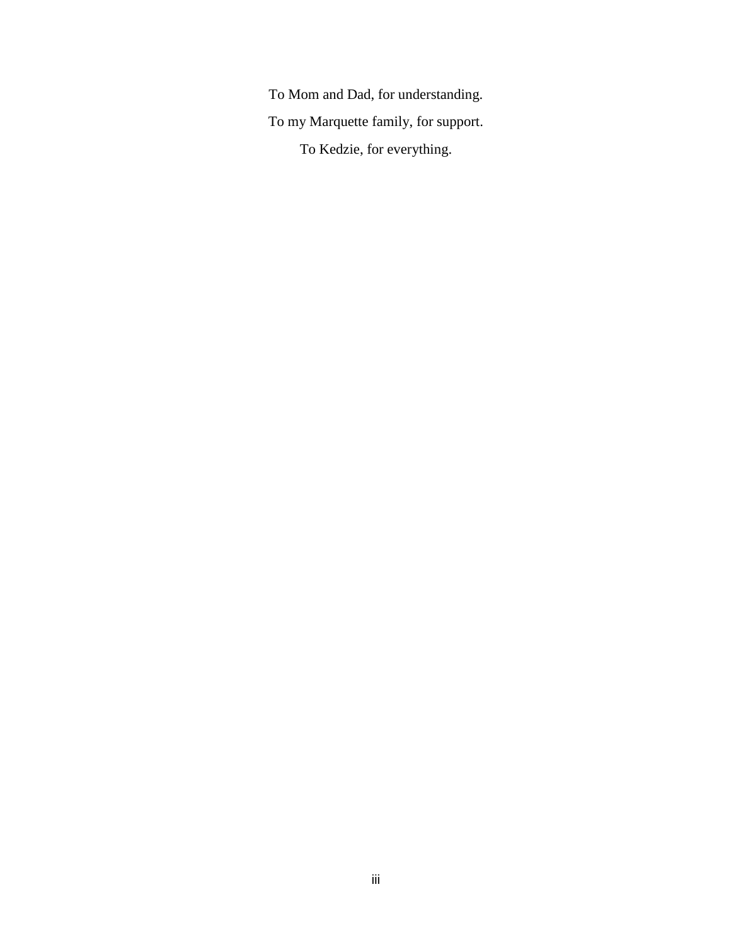To Mom and Dad, for understanding. To my Marquette family, for support. To Kedzie, for everything.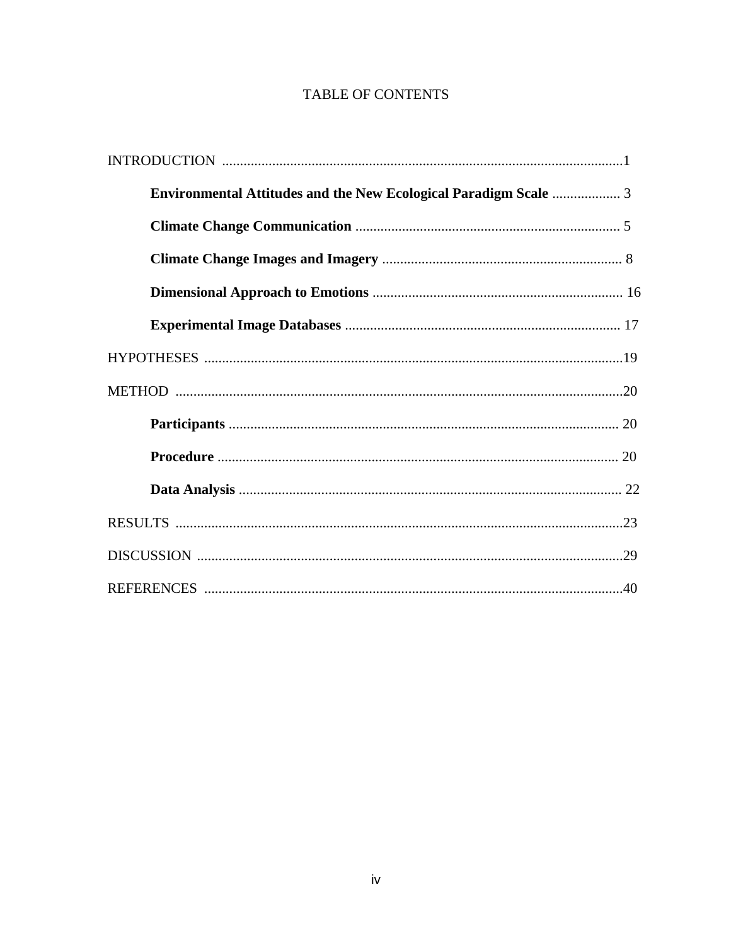## TABLE OF CONTENTS

| <b>Environmental Attitudes and the New Ecological Paradigm Scale  3</b> |  |
|-------------------------------------------------------------------------|--|
|                                                                         |  |
|                                                                         |  |
|                                                                         |  |
|                                                                         |  |
|                                                                         |  |
|                                                                         |  |
|                                                                         |  |
|                                                                         |  |
|                                                                         |  |
|                                                                         |  |
|                                                                         |  |
|                                                                         |  |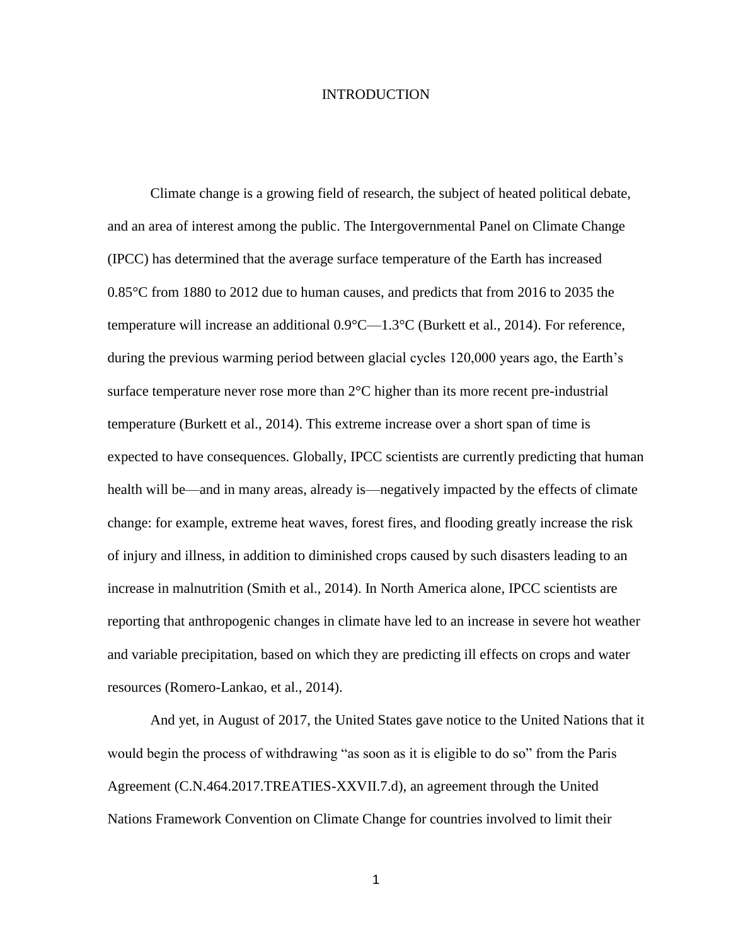#### INTRODUCTION

Climate change is a growing field of research, the subject of heated political debate, and an area of interest among the public. The Intergovernmental Panel on Climate Change (IPCC) has determined that the average surface temperature of the Earth has increased 0.85°C from 1880 to 2012 due to human causes, and predicts that from 2016 to 2035 the temperature will increase an additional 0.9°C—1.3°C (Burkett et al., 2014). For reference, during the previous warming period between glacial cycles 120,000 years ago, the Earth's surface temperature never rose more than 2°C higher than its more recent pre-industrial temperature (Burkett et al., 2014). This extreme increase over a short span of time is expected to have consequences. Globally, IPCC scientists are currently predicting that human health will be—and in many areas, already is—negatively impacted by the effects of climate change: for example, extreme heat waves, forest fires, and flooding greatly increase the risk of injury and illness, in addition to diminished crops caused by such disasters leading to an increase in malnutrition (Smith et al., 2014). In North America alone, IPCC scientists are reporting that anthropogenic changes in climate have led to an increase in severe hot weather and variable precipitation, based on which they are predicting ill effects on crops and water resources (Romero-Lankao, et al., 2014).

And yet, in August of 2017, the United States gave notice to the United Nations that it would begin the process of withdrawing "as soon as it is eligible to do so" from the Paris Agreement (C.N.464.2017.TREATIES-XXVII.7.d), an agreement through the United Nations Framework Convention on Climate Change for countries involved to limit their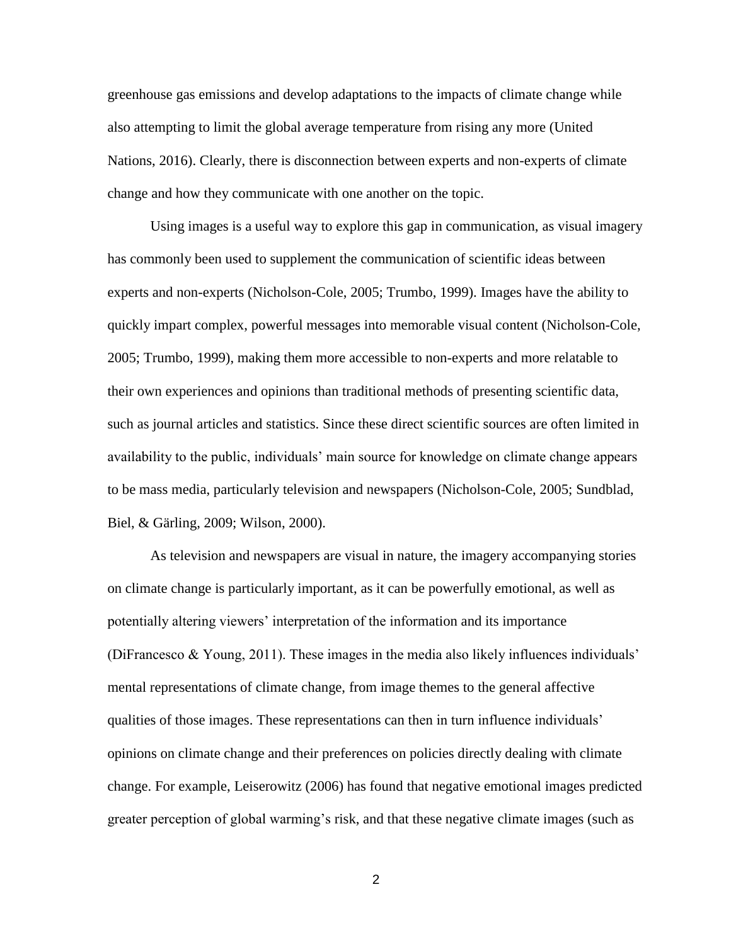greenhouse gas emissions and develop adaptations to the impacts of climate change while also attempting to limit the global average temperature from rising any more (United Nations, 2016). Clearly, there is disconnection between experts and non-experts of climate change and how they communicate with one another on the topic.

Using images is a useful way to explore this gap in communication, as visual imagery has commonly been used to supplement the communication of scientific ideas between experts and non-experts (Nicholson-Cole, 2005; Trumbo, 1999). Images have the ability to quickly impart complex, powerful messages into memorable visual content (Nicholson-Cole, 2005; Trumbo, 1999), making them more accessible to non-experts and more relatable to their own experiences and opinions than traditional methods of presenting scientific data, such as journal articles and statistics. Since these direct scientific sources are often limited in availability to the public, individuals' main source for knowledge on climate change appears to be mass media, particularly television and newspapers (Nicholson-Cole, 2005; Sundblad, Biel, & Gärling, 2009; Wilson, 2000).

As television and newspapers are visual in nature, the imagery accompanying stories on climate change is particularly important, as it can be powerfully emotional, as well as potentially altering viewers' interpretation of the information and its importance (DiFrancesco  $\&$  Young, 2011). These images in the media also likely influences individuals' mental representations of climate change, from image themes to the general affective qualities of those images. These representations can then in turn influence individuals' opinions on climate change and their preferences on policies directly dealing with climate change. For example, Leiserowitz (2006) has found that negative emotional images predicted greater perception of global warming's risk, and that these negative climate images (such as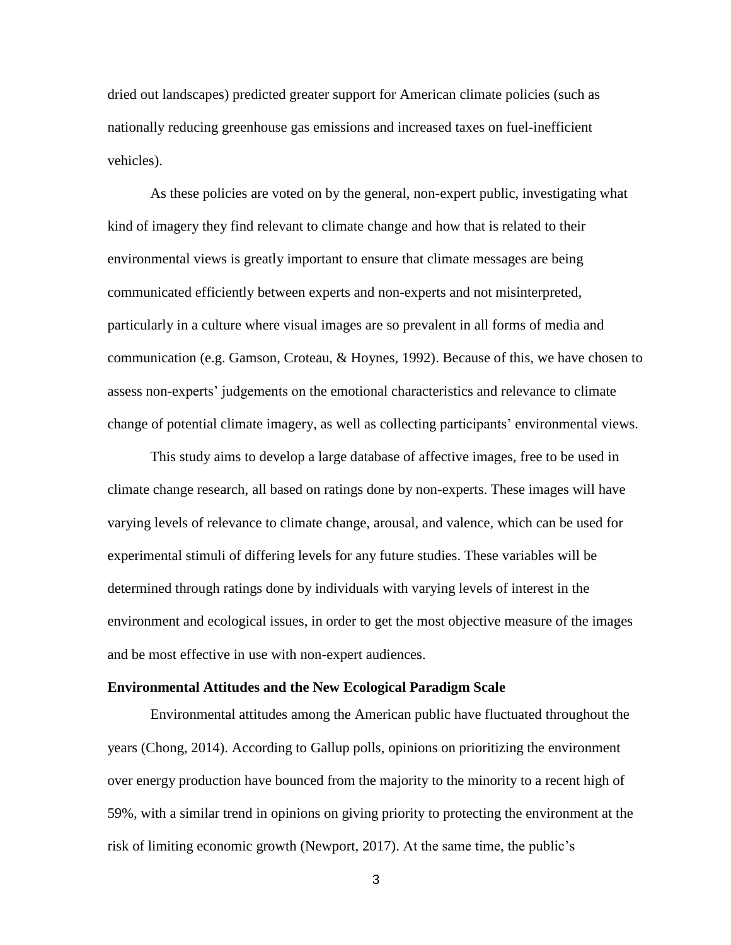dried out landscapes) predicted greater support for American climate policies (such as nationally reducing greenhouse gas emissions and increased taxes on fuel-inefficient vehicles).

As these policies are voted on by the general, non-expert public, investigating what kind of imagery they find relevant to climate change and how that is related to their environmental views is greatly important to ensure that climate messages are being communicated efficiently between experts and non-experts and not misinterpreted, particularly in a culture where visual images are so prevalent in all forms of media and communication (e.g. Gamson, Croteau, & Hoynes, 1992). Because of this, we have chosen to assess non-experts' judgements on the emotional characteristics and relevance to climate change of potential climate imagery, as well as collecting participants' environmental views.

This study aims to develop a large database of affective images, free to be used in climate change research, all based on ratings done by non-experts. These images will have varying levels of relevance to climate change, arousal, and valence, which can be used for experimental stimuli of differing levels for any future studies. These variables will be determined through ratings done by individuals with varying levels of interest in the environment and ecological issues, in order to get the most objective measure of the images and be most effective in use with non-expert audiences.

#### **Environmental Attitudes and the New Ecological Paradigm Scale**

Environmental attitudes among the American public have fluctuated throughout the years (Chong, 2014). According to Gallup polls, opinions on prioritizing the environment over energy production have bounced from the majority to the minority to a recent high of 59%, with a similar trend in opinions on giving priority to protecting the environment at the risk of limiting economic growth (Newport, 2017). At the same time, the public's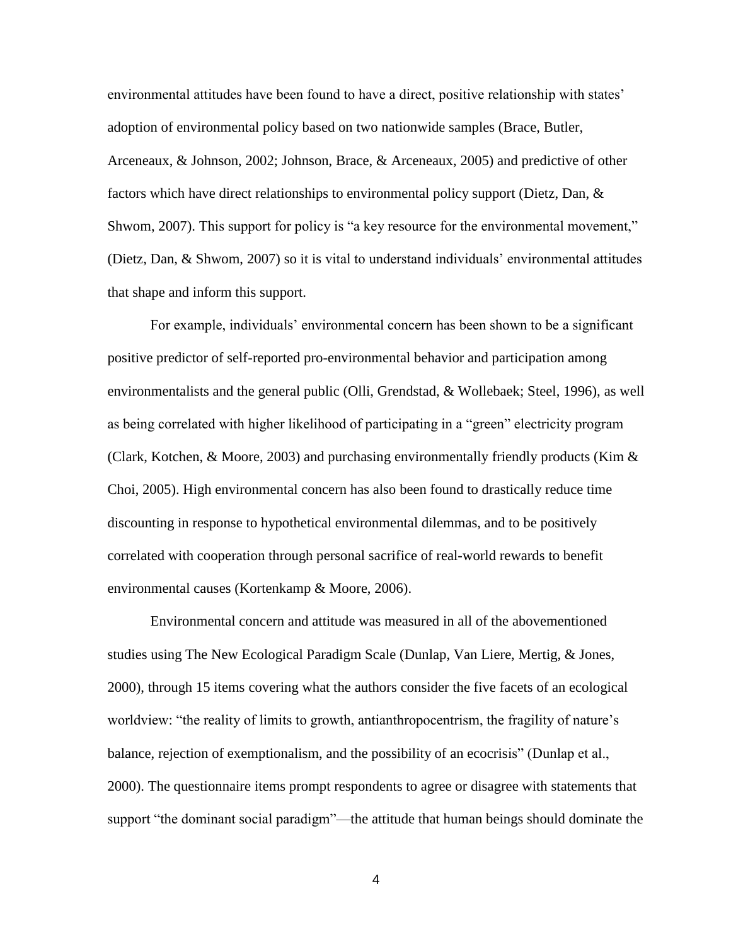environmental attitudes have been found to have a direct, positive relationship with states' adoption of environmental policy based on two nationwide samples (Brace, Butler, Arceneaux, & Johnson, 2002; Johnson, Brace, & Arceneaux, 2005) and predictive of other factors which have direct relationships to environmental policy support (Dietz, Dan, & Shwom, 2007). This support for policy is "a key resource for the environmental movement," (Dietz, Dan, & Shwom, 2007) so it is vital to understand individuals' environmental attitudes that shape and inform this support.

For example, individuals' environmental concern has been shown to be a significant positive predictor of self-reported pro-environmental behavior and participation among environmentalists and the general public (Olli, Grendstad, & Wollebaek; Steel, 1996), as well as being correlated with higher likelihood of participating in a "green" electricity program (Clark, Kotchen, & Moore, 2003) and purchasing environmentally friendly products (Kim  $\&$ Choi, 2005). High environmental concern has also been found to drastically reduce time discounting in response to hypothetical environmental dilemmas, and to be positively correlated with cooperation through personal sacrifice of real-world rewards to benefit environmental causes (Kortenkamp & Moore, 2006).

Environmental concern and attitude was measured in all of the abovementioned studies using The New Ecological Paradigm Scale (Dunlap, Van Liere, Mertig, & Jones, 2000), through 15 items covering what the authors consider the five facets of an ecological worldview: "the reality of limits to growth, antianthropocentrism, the fragility of nature's balance, rejection of exemptionalism, and the possibility of an ecocrisis" (Dunlap et al., 2000). The questionnaire items prompt respondents to agree or disagree with statements that support "the dominant social paradigm"—the attitude that human beings should dominate the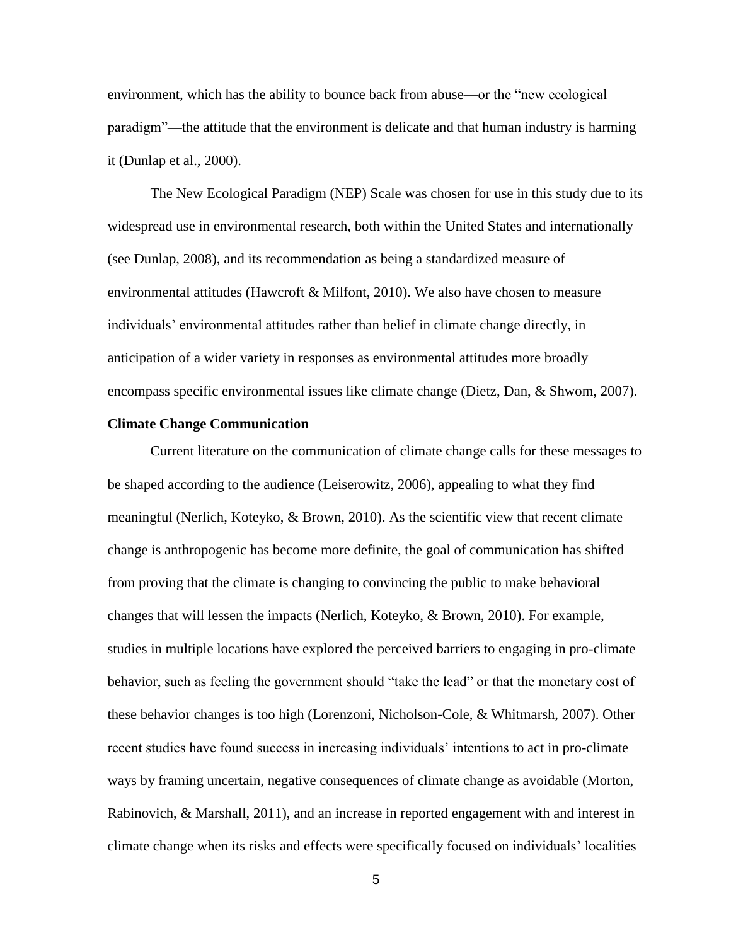environment, which has the ability to bounce back from abuse—or the "new ecological paradigm"—the attitude that the environment is delicate and that human industry is harming it (Dunlap et al., 2000).

The New Ecological Paradigm (NEP) Scale was chosen for use in this study due to its widespread use in environmental research, both within the United States and internationally (see Dunlap, 2008), and its recommendation as being a standardized measure of environmental attitudes (Hawcroft & Milfont, 2010). We also have chosen to measure individuals' environmental attitudes rather than belief in climate change directly, in anticipation of a wider variety in responses as environmental attitudes more broadly encompass specific environmental issues like climate change (Dietz, Dan, & Shwom, 2007).

#### **Climate Change Communication**

Current literature on the communication of climate change calls for these messages to be shaped according to the audience (Leiserowitz, 2006), appealing to what they find meaningful (Nerlich, Koteyko, & Brown, 2010). As the scientific view that recent climate change is anthropogenic has become more definite, the goal of communication has shifted from proving that the climate is changing to convincing the public to make behavioral changes that will lessen the impacts (Nerlich, Koteyko, & Brown, 2010). For example, studies in multiple locations have explored the perceived barriers to engaging in pro-climate behavior, such as feeling the government should "take the lead" or that the monetary cost of these behavior changes is too high (Lorenzoni, Nicholson-Cole, & Whitmarsh, 2007). Other recent studies have found success in increasing individuals' intentions to act in pro-climate ways by framing uncertain, negative consequences of climate change as avoidable (Morton, Rabinovich, & Marshall, 2011), and an increase in reported engagement with and interest in climate change when its risks and effects were specifically focused on individuals' localities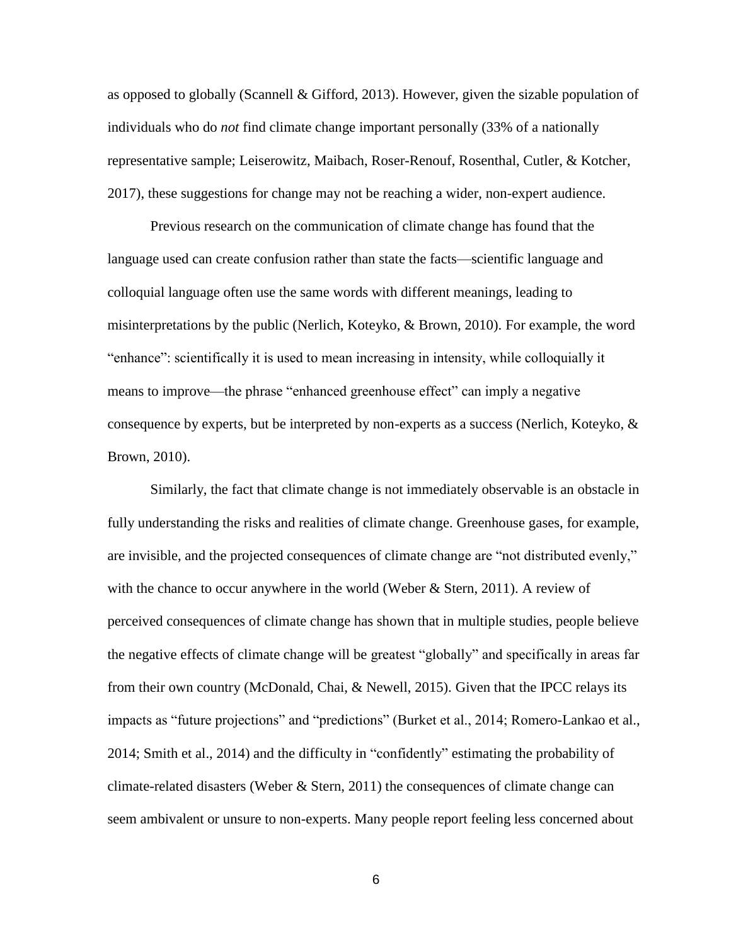as opposed to globally (Scannell & Gifford, 2013). However, given the sizable population of individuals who do *not* find climate change important personally (33% of a nationally representative sample; Leiserowitz, Maibach, Roser-Renouf, Rosenthal, Cutler, & Kotcher, 2017), these suggestions for change may not be reaching a wider, non-expert audience.

Previous research on the communication of climate change has found that the language used can create confusion rather than state the facts—scientific language and colloquial language often use the same words with different meanings, leading to misinterpretations by the public (Nerlich, Koteyko, & Brown, 2010). For example, the word "enhance": scientifically it is used to mean increasing in intensity, while colloquially it means to improve—the phrase "enhanced greenhouse effect" can imply a negative consequence by experts, but be interpreted by non-experts as a success (Nerlich, Koteyko, & Brown, 2010).

Similarly, the fact that climate change is not immediately observable is an obstacle in fully understanding the risks and realities of climate change. Greenhouse gases, for example, are invisible, and the projected consequences of climate change are "not distributed evenly," with the chance to occur anywhere in the world (Weber  $\&$  Stern, 2011). A review of perceived consequences of climate change has shown that in multiple studies, people believe the negative effects of climate change will be greatest "globally" and specifically in areas far from their own country (McDonald, Chai, & Newell, 2015). Given that the IPCC relays its impacts as "future projections" and "predictions" (Burket et al., 2014; Romero-Lankao et al., 2014; Smith et al., 2014) and the difficulty in "confidently" estimating the probability of climate-related disasters (Weber & Stern, 2011) the consequences of climate change can seem ambivalent or unsure to non-experts. Many people report feeling less concerned about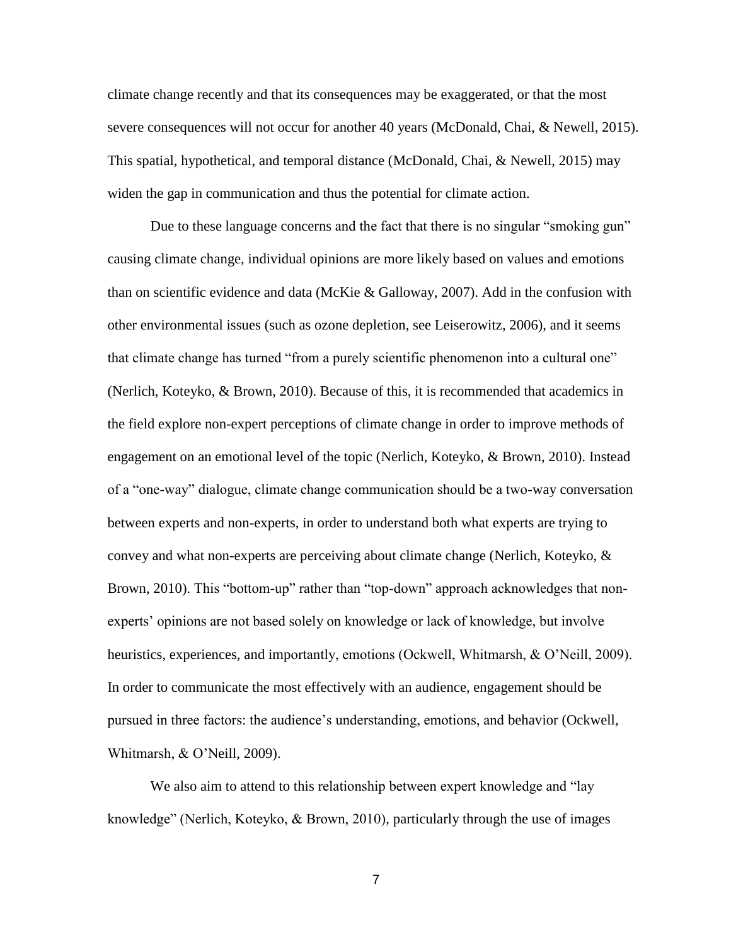climate change recently and that its consequences may be exaggerated, or that the most severe consequences will not occur for another 40 years (McDonald, Chai, & Newell, 2015). This spatial, hypothetical, and temporal distance (McDonald, Chai, & Newell, 2015) may widen the gap in communication and thus the potential for climate action.

Due to these language concerns and the fact that there is no singular "smoking gun" causing climate change, individual opinions are more likely based on values and emotions than on scientific evidence and data (McKie & Galloway, 2007). Add in the confusion with other environmental issues (such as ozone depletion, see Leiserowitz, 2006), and it seems that climate change has turned "from a purely scientific phenomenon into a cultural one" (Nerlich, Koteyko, & Brown, 2010). Because of this, it is recommended that academics in the field explore non-expert perceptions of climate change in order to improve methods of engagement on an emotional level of the topic (Nerlich, Koteyko, & Brown, 2010). Instead of a "one-way" dialogue, climate change communication should be a two-way conversation between experts and non-experts, in order to understand both what experts are trying to convey and what non-experts are perceiving about climate change (Nerlich, Koteyko, & Brown, 2010). This "bottom-up" rather than "top-down" approach acknowledges that nonexperts' opinions are not based solely on knowledge or lack of knowledge, but involve heuristics, experiences, and importantly, emotions (Ockwell, Whitmarsh, & O'Neill, 2009). In order to communicate the most effectively with an audience, engagement should be pursued in three factors: the audience's understanding, emotions, and behavior (Ockwell, Whitmarsh, & O'Neill, 2009).

We also aim to attend to this relationship between expert knowledge and "lay knowledge" (Nerlich, Koteyko, & Brown, 2010), particularly through the use of images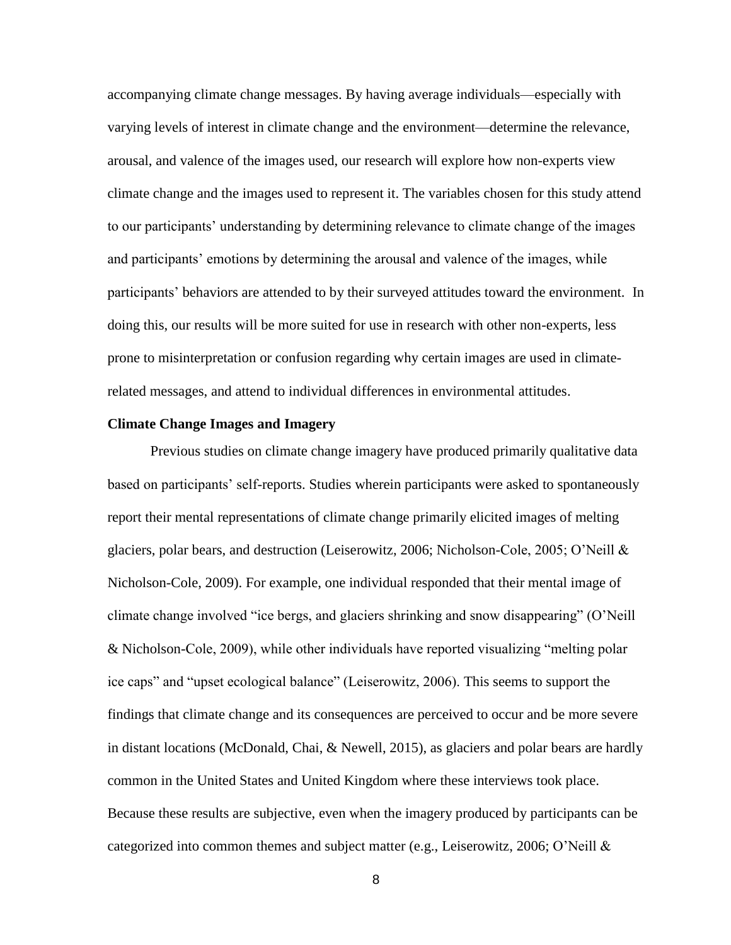accompanying climate change messages. By having average individuals—especially with varying levels of interest in climate change and the environment—determine the relevance, arousal, and valence of the images used, our research will explore how non-experts view climate change and the images used to represent it. The variables chosen for this study attend to our participants' understanding by determining relevance to climate change of the images and participants' emotions by determining the arousal and valence of the images, while participants' behaviors are attended to by their surveyed attitudes toward the environment. In doing this, our results will be more suited for use in research with other non-experts, less prone to misinterpretation or confusion regarding why certain images are used in climaterelated messages, and attend to individual differences in environmental attitudes.

#### **Climate Change Images and Imagery**

Previous studies on climate change imagery have produced primarily qualitative data based on participants' self-reports. Studies wherein participants were asked to spontaneously report their mental representations of climate change primarily elicited images of melting glaciers, polar bears, and destruction (Leiserowitz, 2006; Nicholson-Cole, 2005; O'Neill & Nicholson-Cole, 2009). For example, one individual responded that their mental image of climate change involved "ice bergs, and glaciers shrinking and snow disappearing" (O'Neill & Nicholson-Cole, 2009), while other individuals have reported visualizing "melting polar ice caps" and "upset ecological balance" (Leiserowitz, 2006). This seems to support the findings that climate change and its consequences are perceived to occur and be more severe in distant locations (McDonald, Chai, & Newell, 2015), as glaciers and polar bears are hardly common in the United States and United Kingdom where these interviews took place. Because these results are subjective, even when the imagery produced by participants can be categorized into common themes and subject matter (e.g., Leiserowitz, 2006; O'Neill &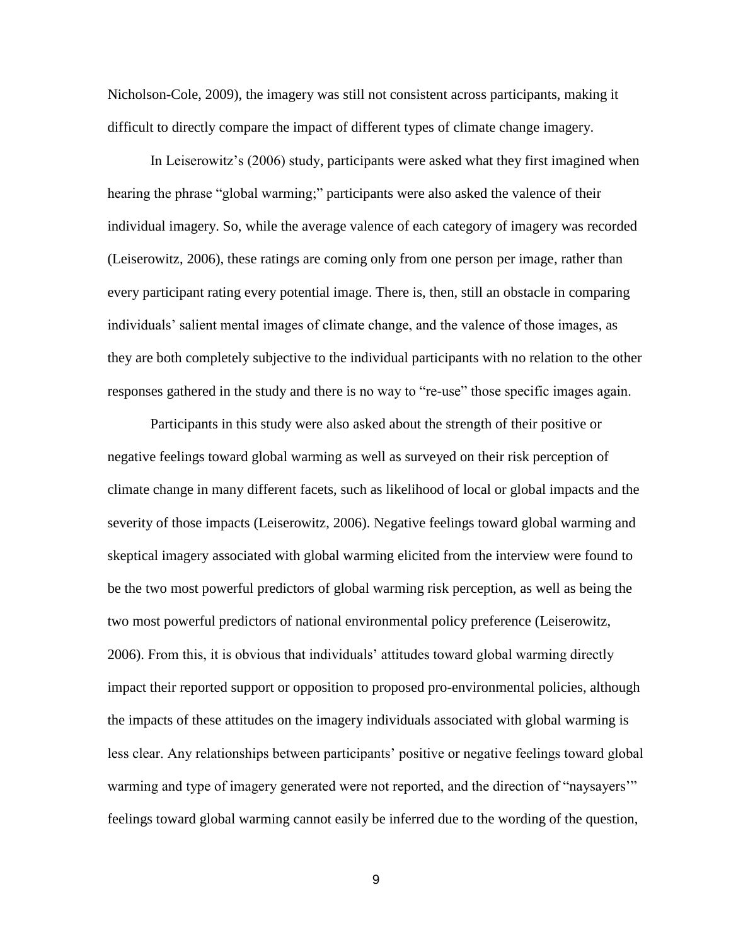Nicholson-Cole, 2009), the imagery was still not consistent across participants, making it difficult to directly compare the impact of different types of climate change imagery.

In Leiserowitz's (2006) study, participants were asked what they first imagined when hearing the phrase "global warming;" participants were also asked the valence of their individual imagery. So, while the average valence of each category of imagery was recorded (Leiserowitz, 2006), these ratings are coming only from one person per image, rather than every participant rating every potential image. There is, then, still an obstacle in comparing individuals' salient mental images of climate change, and the valence of those images, as they are both completely subjective to the individual participants with no relation to the other responses gathered in the study and there is no way to "re-use" those specific images again.

Participants in this study were also asked about the strength of their positive or negative feelings toward global warming as well as surveyed on their risk perception of climate change in many different facets, such as likelihood of local or global impacts and the severity of those impacts (Leiserowitz, 2006). Negative feelings toward global warming and skeptical imagery associated with global warming elicited from the interview were found to be the two most powerful predictors of global warming risk perception, as well as being the two most powerful predictors of national environmental policy preference (Leiserowitz, 2006). From this, it is obvious that individuals' attitudes toward global warming directly impact their reported support or opposition to proposed pro-environmental policies, although the impacts of these attitudes on the imagery individuals associated with global warming is less clear. Any relationships between participants' positive or negative feelings toward global warming and type of imagery generated were not reported, and the direction of "naysayers" feelings toward global warming cannot easily be inferred due to the wording of the question,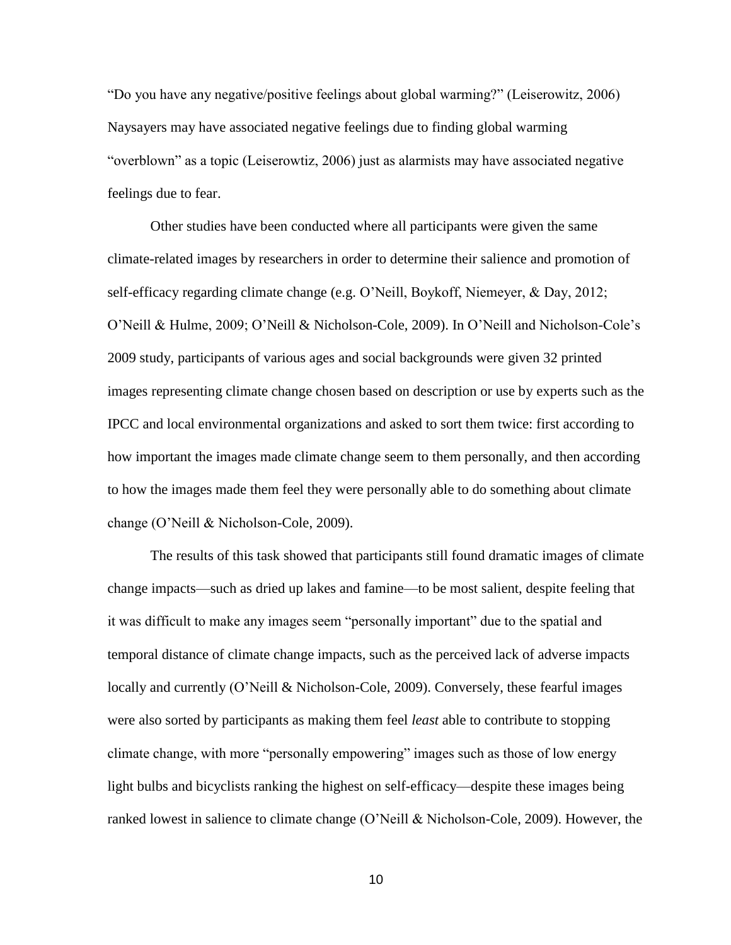"Do you have any negative/positive feelings about global warming?" (Leiserowitz, 2006) Naysayers may have associated negative feelings due to finding global warming "overblown" as a topic (Leiserowtiz, 2006) just as alarmists may have associated negative feelings due to fear.

Other studies have been conducted where all participants were given the same climate-related images by researchers in order to determine their salience and promotion of self-efficacy regarding climate change (e.g. O'Neill, Boykoff, Niemeyer, & Day, 2012; O'Neill & Hulme, 2009; O'Neill & Nicholson-Cole, 2009). In O'Neill and Nicholson-Cole's 2009 study, participants of various ages and social backgrounds were given 32 printed images representing climate change chosen based on description or use by experts such as the IPCC and local environmental organizations and asked to sort them twice: first according to how important the images made climate change seem to them personally, and then according to how the images made them feel they were personally able to do something about climate change (O'Neill & Nicholson-Cole, 2009).

The results of this task showed that participants still found dramatic images of climate change impacts—such as dried up lakes and famine—to be most salient, despite feeling that it was difficult to make any images seem "personally important" due to the spatial and temporal distance of climate change impacts, such as the perceived lack of adverse impacts locally and currently (O'Neill & Nicholson-Cole, 2009). Conversely, these fearful images were also sorted by participants as making them feel *least* able to contribute to stopping climate change, with more "personally empowering" images such as those of low energy light bulbs and bicyclists ranking the highest on self-efficacy—despite these images being ranked lowest in salience to climate change (O'Neill & Nicholson-Cole, 2009). However, the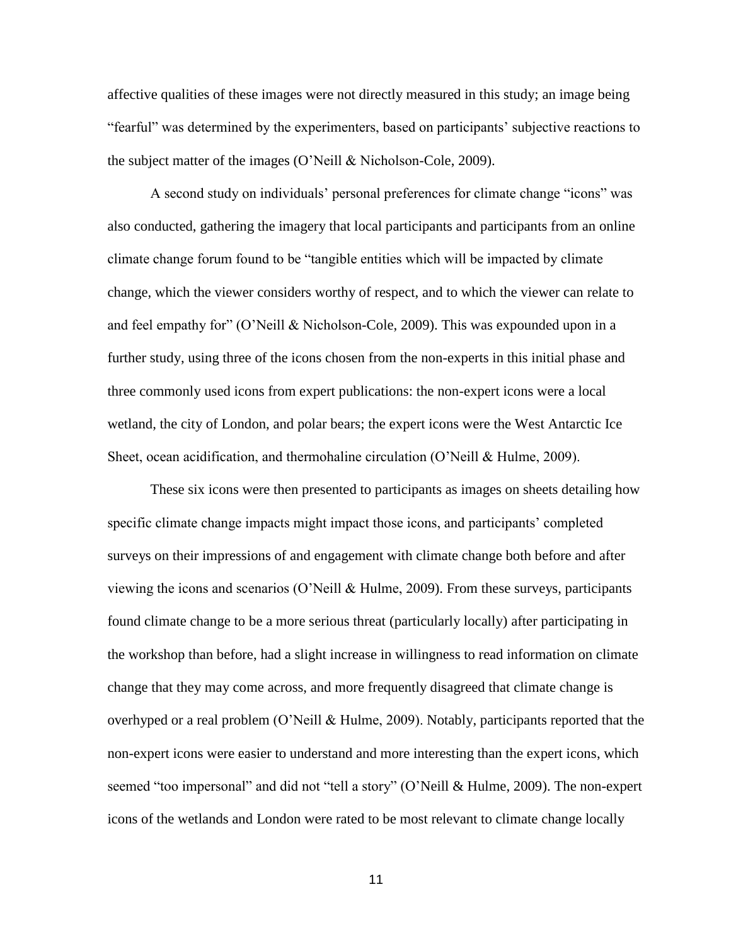affective qualities of these images were not directly measured in this study; an image being "fearful" was determined by the experimenters, based on participants' subjective reactions to the subject matter of the images (O'Neill & Nicholson-Cole, 2009).

A second study on individuals' personal preferences for climate change "icons" was also conducted, gathering the imagery that local participants and participants from an online climate change forum found to be "tangible entities which will be impacted by climate change, which the viewer considers worthy of respect, and to which the viewer can relate to and feel empathy for" (O'Neill & Nicholson-Cole, 2009). This was expounded upon in a further study, using three of the icons chosen from the non-experts in this initial phase and three commonly used icons from expert publications: the non-expert icons were a local wetland, the city of London, and polar bears; the expert icons were the West Antarctic Ice Sheet, ocean acidification, and thermohaline circulation (O'Neill & Hulme, 2009).

These six icons were then presented to participants as images on sheets detailing how specific climate change impacts might impact those icons, and participants' completed surveys on their impressions of and engagement with climate change both before and after viewing the icons and scenarios (O'Neill & Hulme, 2009). From these surveys, participants found climate change to be a more serious threat (particularly locally) after participating in the workshop than before, had a slight increase in willingness to read information on climate change that they may come across, and more frequently disagreed that climate change is overhyped or a real problem (O'Neill & Hulme, 2009). Notably, participants reported that the non-expert icons were easier to understand and more interesting than the expert icons, which seemed "too impersonal" and did not "tell a story" (O'Neill & Hulme, 2009). The non-expert icons of the wetlands and London were rated to be most relevant to climate change locally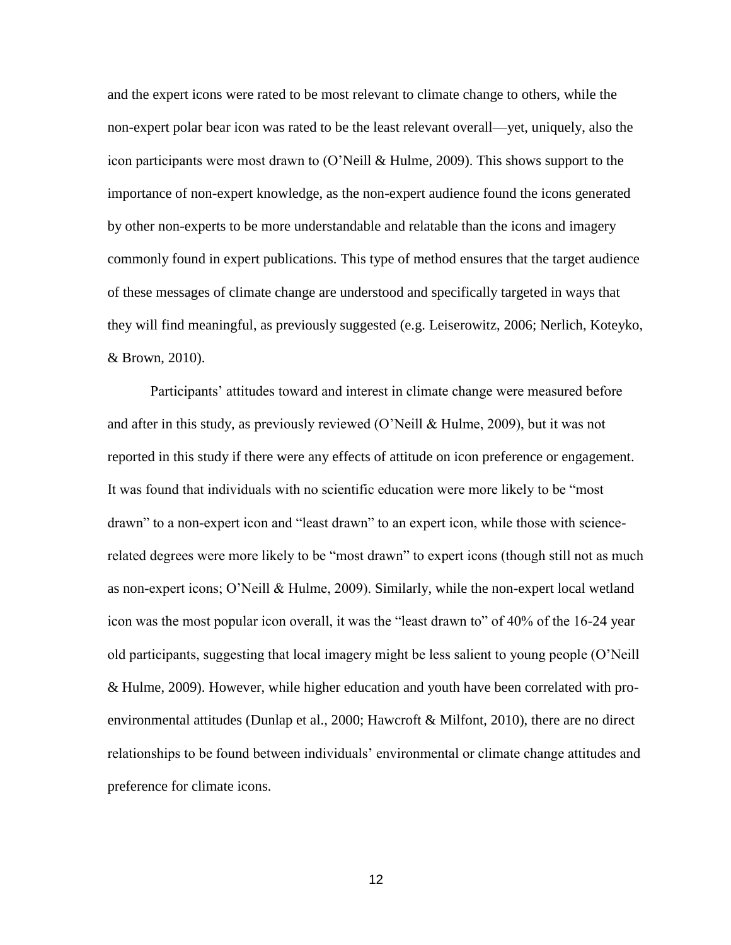and the expert icons were rated to be most relevant to climate change to others, while the non-expert polar bear icon was rated to be the least relevant overall—yet, uniquely, also the icon participants were most drawn to (O'Neill & Hulme, 2009). This shows support to the importance of non-expert knowledge, as the non-expert audience found the icons generated by other non-experts to be more understandable and relatable than the icons and imagery commonly found in expert publications. This type of method ensures that the target audience of these messages of climate change are understood and specifically targeted in ways that they will find meaningful, as previously suggested (e.g. Leiserowitz, 2006; Nerlich, Koteyko, & Brown, 2010).

Participants' attitudes toward and interest in climate change were measured before and after in this study, as previously reviewed (O'Neill & Hulme, 2009), but it was not reported in this study if there were any effects of attitude on icon preference or engagement. It was found that individuals with no scientific education were more likely to be "most drawn" to a non-expert icon and "least drawn" to an expert icon, while those with sciencerelated degrees were more likely to be "most drawn" to expert icons (though still not as much as non-expert icons; O'Neill & Hulme, 2009). Similarly, while the non-expert local wetland icon was the most popular icon overall, it was the "least drawn to" of 40% of the 16-24 year old participants, suggesting that local imagery might be less salient to young people (O'Neill & Hulme, 2009). However, while higher education and youth have been correlated with proenvironmental attitudes (Dunlap et al., 2000; Hawcroft & Milfont, 2010), there are no direct relationships to be found between individuals' environmental or climate change attitudes and preference for climate icons.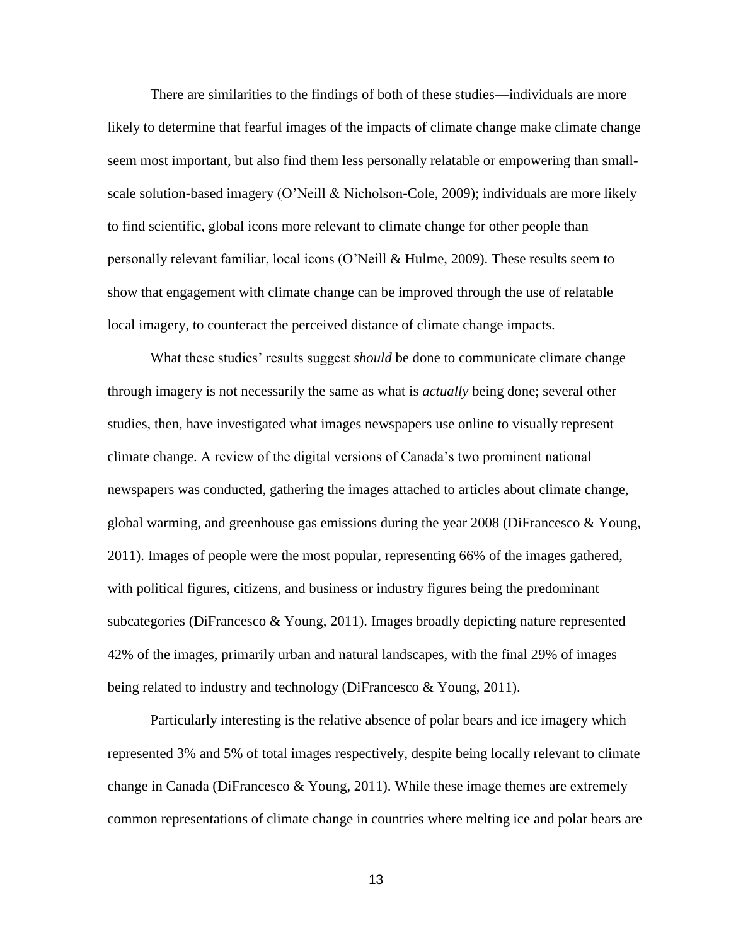There are similarities to the findings of both of these studies—individuals are more likely to determine that fearful images of the impacts of climate change make climate change seem most important, but also find them less personally relatable or empowering than smallscale solution-based imagery (O'Neill & Nicholson-Cole, 2009); individuals are more likely to find scientific, global icons more relevant to climate change for other people than personally relevant familiar, local icons (O'Neill & Hulme, 2009). These results seem to show that engagement with climate change can be improved through the use of relatable local imagery, to counteract the perceived distance of climate change impacts.

What these studies' results suggest *should* be done to communicate climate change through imagery is not necessarily the same as what is *actually* being done; several other studies, then, have investigated what images newspapers use online to visually represent climate change. A review of the digital versions of Canada's two prominent national newspapers was conducted, gathering the images attached to articles about climate change, global warming, and greenhouse gas emissions during the year  $2008$  (DiFrancesco & Young, 2011). Images of people were the most popular, representing 66% of the images gathered, with political figures, citizens, and business or industry figures being the predominant subcategories (DiFrancesco & Young, 2011). Images broadly depicting nature represented 42% of the images, primarily urban and natural landscapes, with the final 29% of images being related to industry and technology (DiFrancesco & Young, 2011).

Particularly interesting is the relative absence of polar bears and ice imagery which represented 3% and 5% of total images respectively, despite being locally relevant to climate change in Canada (DiFrancesco & Young, 2011). While these image themes are extremely common representations of climate change in countries where melting ice and polar bears are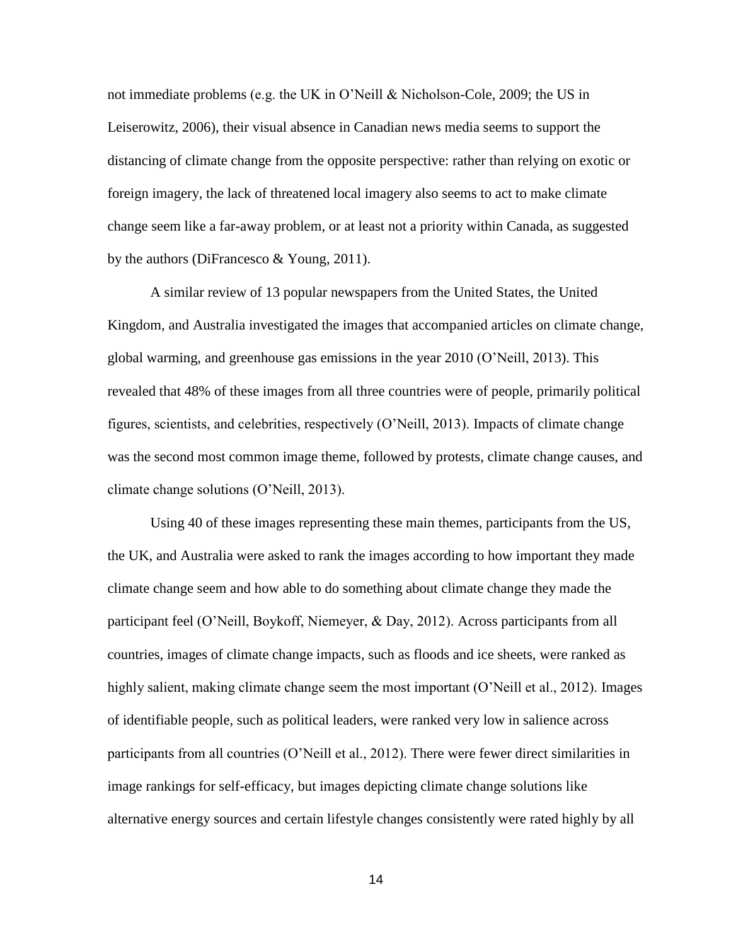not immediate problems (e.g. the UK in O'Neill & Nicholson-Cole, 2009; the US in Leiserowitz, 2006), their visual absence in Canadian news media seems to support the distancing of climate change from the opposite perspective: rather than relying on exotic or foreign imagery, the lack of threatened local imagery also seems to act to make climate change seem like a far-away problem, or at least not a priority within Canada, as suggested by the authors (DiFrancesco & Young, 2011).

A similar review of 13 popular newspapers from the United States, the United Kingdom, and Australia investigated the images that accompanied articles on climate change, global warming, and greenhouse gas emissions in the year 2010 (O'Neill, 2013). This revealed that 48% of these images from all three countries were of people, primarily political figures, scientists, and celebrities, respectively (O'Neill, 2013). Impacts of climate change was the second most common image theme, followed by protests, climate change causes, and climate change solutions (O'Neill, 2013).

Using 40 of these images representing these main themes, participants from the US, the UK, and Australia were asked to rank the images according to how important they made climate change seem and how able to do something about climate change they made the participant feel (O'Neill, Boykoff, Niemeyer, & Day, 2012). Across participants from all countries, images of climate change impacts, such as floods and ice sheets, were ranked as highly salient, making climate change seem the most important (O'Neill et al., 2012). Images of identifiable people, such as political leaders, were ranked very low in salience across participants from all countries (O'Neill et al., 2012). There were fewer direct similarities in image rankings for self-efficacy, but images depicting climate change solutions like alternative energy sources and certain lifestyle changes consistently were rated highly by all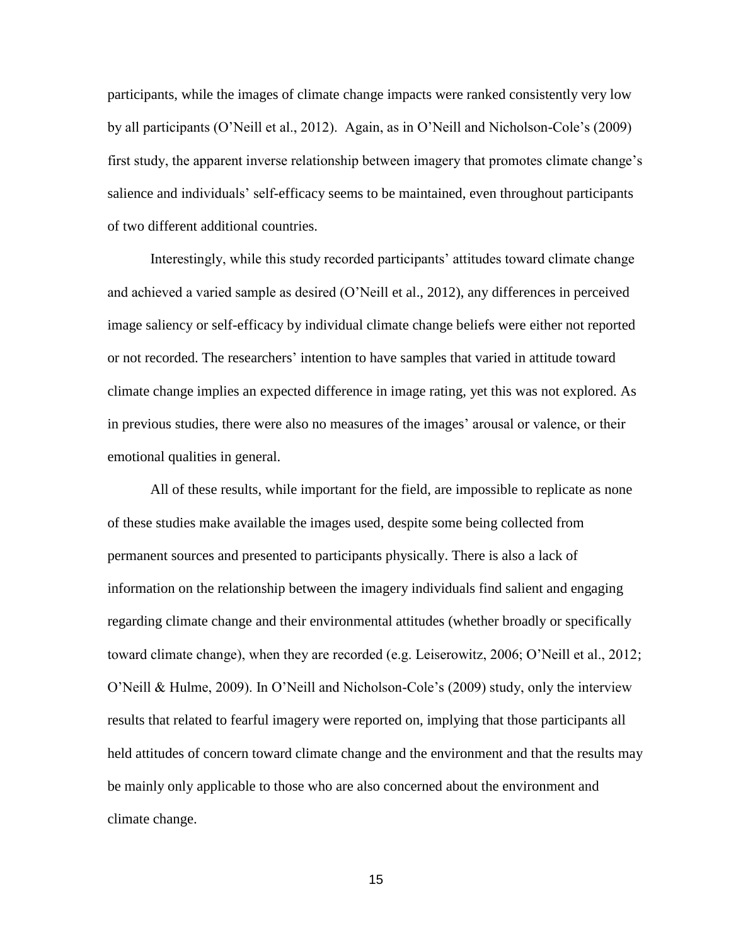participants, while the images of climate change impacts were ranked consistently very low by all participants (O'Neill et al., 2012). Again, as in O'Neill and Nicholson-Cole's (2009) first study, the apparent inverse relationship between imagery that promotes climate change's salience and individuals' self-efficacy seems to be maintained, even throughout participants of two different additional countries.

Interestingly, while this study recorded participants' attitudes toward climate change and achieved a varied sample as desired (O'Neill et al., 2012), any differences in perceived image saliency or self-efficacy by individual climate change beliefs were either not reported or not recorded. The researchers' intention to have samples that varied in attitude toward climate change implies an expected difference in image rating, yet this was not explored. As in previous studies, there were also no measures of the images' arousal or valence, or their emotional qualities in general.

All of these results, while important for the field, are impossible to replicate as none of these studies make available the images used, despite some being collected from permanent sources and presented to participants physically. There is also a lack of information on the relationship between the imagery individuals find salient and engaging regarding climate change and their environmental attitudes (whether broadly or specifically toward climate change), when they are recorded (e.g. Leiserowitz, 2006; O'Neill et al., 2012; O'Neill & Hulme, 2009). In O'Neill and Nicholson-Cole's (2009) study, only the interview results that related to fearful imagery were reported on, implying that those participants all held attitudes of concern toward climate change and the environment and that the results may be mainly only applicable to those who are also concerned about the environment and climate change.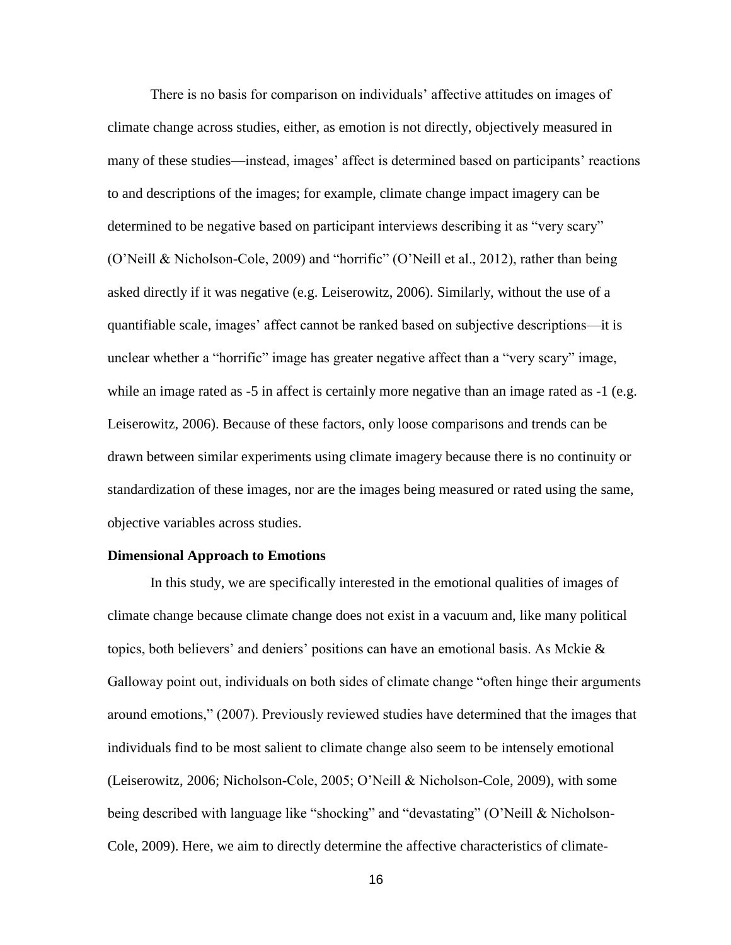There is no basis for comparison on individuals' affective attitudes on images of climate change across studies, either, as emotion is not directly, objectively measured in many of these studies—instead, images' affect is determined based on participants' reactions to and descriptions of the images; for example, climate change impact imagery can be determined to be negative based on participant interviews describing it as "very scary" (O'Neill & Nicholson-Cole, 2009) and "horrific" (O'Neill et al., 2012), rather than being asked directly if it was negative (e.g. Leiserowitz, 2006). Similarly, without the use of a quantifiable scale, images' affect cannot be ranked based on subjective descriptions—it is unclear whether a "horrific" image has greater negative affect than a "very scary" image, while an image rated as  $-5$  in affect is certainly more negative than an image rated as  $-1$  (e.g. Leiserowitz, 2006). Because of these factors, only loose comparisons and trends can be drawn between similar experiments using climate imagery because there is no continuity or standardization of these images, nor are the images being measured or rated using the same, objective variables across studies.

#### **Dimensional Approach to Emotions**

In this study, we are specifically interested in the emotional qualities of images of climate change because climate change does not exist in a vacuum and, like many political topics, both believers' and deniers' positions can have an emotional basis. As Mckie & Galloway point out, individuals on both sides of climate change "often hinge their arguments around emotions," (2007). Previously reviewed studies have determined that the images that individuals find to be most salient to climate change also seem to be intensely emotional (Leiserowitz, 2006; Nicholson-Cole, 2005; O'Neill & Nicholson-Cole, 2009), with some being described with language like "shocking" and "devastating" (O'Neill & Nicholson-Cole, 2009). Here, we aim to directly determine the affective characteristics of climate-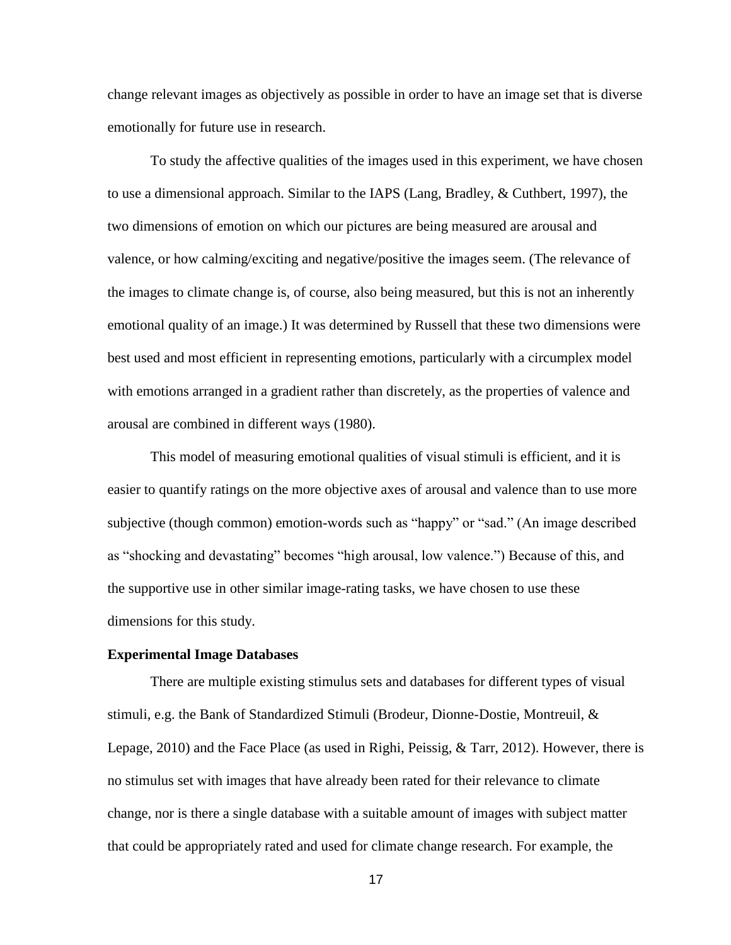change relevant images as objectively as possible in order to have an image set that is diverse emotionally for future use in research.

To study the affective qualities of the images used in this experiment, we have chosen to use a dimensional approach. Similar to the IAPS (Lang, Bradley, & Cuthbert, 1997), the two dimensions of emotion on which our pictures are being measured are arousal and valence, or how calming/exciting and negative/positive the images seem. (The relevance of the images to climate change is, of course, also being measured, but this is not an inherently emotional quality of an image.) It was determined by Russell that these two dimensions were best used and most efficient in representing emotions, particularly with a circumplex model with emotions arranged in a gradient rather than discretely, as the properties of valence and arousal are combined in different ways (1980).

This model of measuring emotional qualities of visual stimuli is efficient, and it is easier to quantify ratings on the more objective axes of arousal and valence than to use more subjective (though common) emotion-words such as "happy" or "sad." (An image described as "shocking and devastating" becomes "high arousal, low valence.") Because of this, and the supportive use in other similar image-rating tasks, we have chosen to use these dimensions for this study.

#### **Experimental Image Databases**

There are multiple existing stimulus sets and databases for different types of visual stimuli, e.g. the Bank of Standardized Stimuli (Brodeur, Dionne-Dostie, Montreuil, & Lepage, 2010) and the Face Place (as used in Righi, Peissig, & Tarr, 2012). However, there is no stimulus set with images that have already been rated for their relevance to climate change, nor is there a single database with a suitable amount of images with subject matter that could be appropriately rated and used for climate change research. For example, the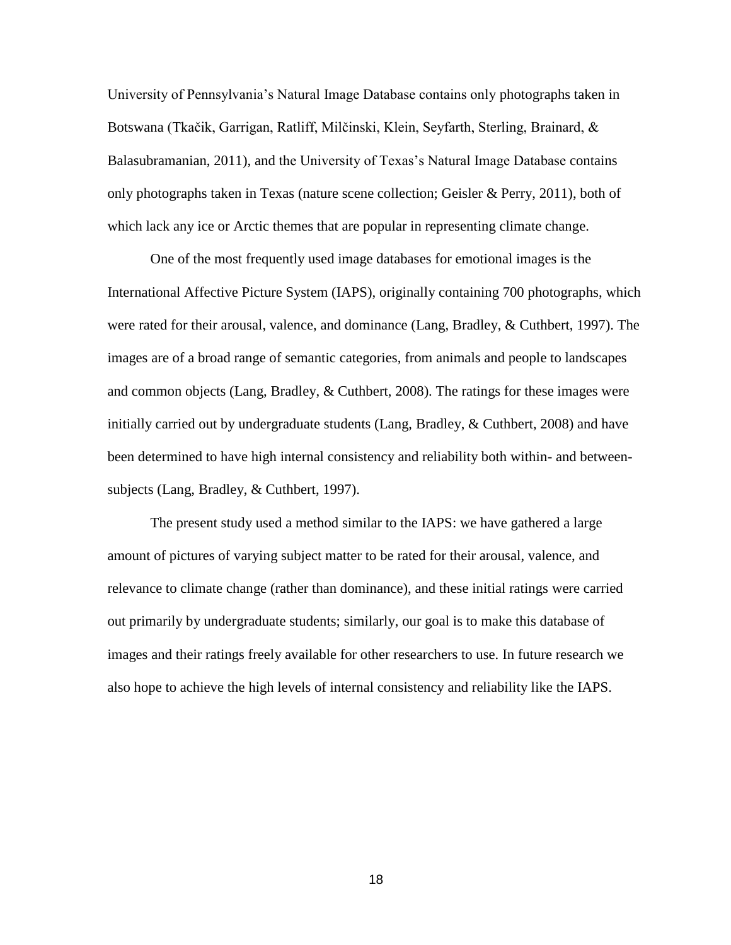University of Pennsylvania's Natural Image Database contains only photographs taken in Botswana (Tkačik, Garrigan, Ratliff, Milčinski, Klein, Seyfarth, Sterling, Brainard, & Balasubramanian, 2011), and the University of Texas's Natural Image Database contains only photographs taken in Texas (nature scene collection; Geisler & Perry, 2011), both of which lack any ice or Arctic themes that are popular in representing climate change.

One of the most frequently used image databases for emotional images is the International Affective Picture System (IAPS), originally containing 700 photographs, which were rated for their arousal, valence, and dominance (Lang, Bradley, & Cuthbert, 1997). The images are of a broad range of semantic categories, from animals and people to landscapes and common objects (Lang, Bradley, & Cuthbert, 2008). The ratings for these images were initially carried out by undergraduate students (Lang, Bradley, & Cuthbert, 2008) and have been determined to have high internal consistency and reliability both within- and betweensubjects (Lang, Bradley, & Cuthbert, 1997).

The present study used a method similar to the IAPS: we have gathered a large amount of pictures of varying subject matter to be rated for their arousal, valence, and relevance to climate change (rather than dominance), and these initial ratings were carried out primarily by undergraduate students; similarly, our goal is to make this database of images and their ratings freely available for other researchers to use. In future research we also hope to achieve the high levels of internal consistency and reliability like the IAPS.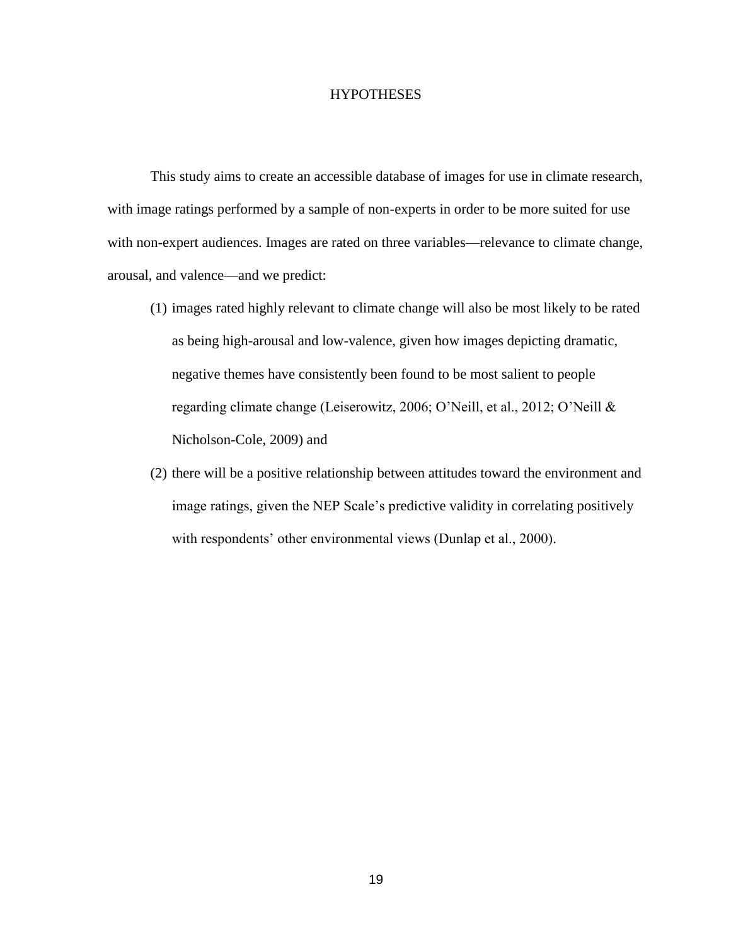#### **HYPOTHESES**

This study aims to create an accessible database of images for use in climate research, with image ratings performed by a sample of non-experts in order to be more suited for use with non-expert audiences. Images are rated on three variables—relevance to climate change, arousal, and valence—and we predict:

- (1) images rated highly relevant to climate change will also be most likely to be rated as being high-arousal and low-valence, given how images depicting dramatic, negative themes have consistently been found to be most salient to people regarding climate change (Leiserowitz, 2006; O'Neill, et al., 2012; O'Neill & Nicholson-Cole, 2009) and
- (2) there will be a positive relationship between attitudes toward the environment and image ratings, given the NEP Scale's predictive validity in correlating positively with respondents' other environmental views (Dunlap et al., 2000).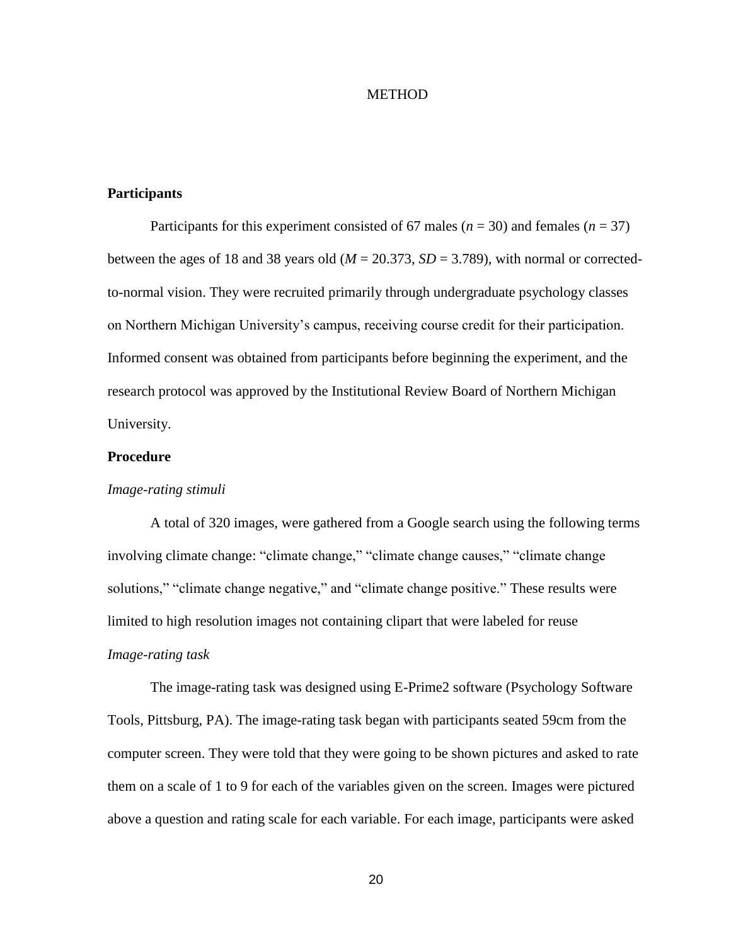#### **METHOD**

#### **Participants**

Participants for this experiment consisted of 67 males (*n* = 30) and females (*n* = 37) between the ages of 18 and 38 years old ( $M = 20.373$ ,  $SD = 3.789$ ), with normal or correctedto-normal vision. They were recruited primarily through undergraduate psychology classes on Northern Michigan University's campus, receiving course credit for their participation. Informed consent was obtained from participants before beginning the experiment, and the research protocol was approved by the Institutional Review Board of Northern Michigan University.

#### **Procedure**

#### *Image-rating stimuli*

A total of 320 images, were gathered from a Google search using the following terms involving climate change: "climate change," "climate change causes," "climate change solutions," "climate change negative," and "climate change positive." These results were limited to high resolution images not containing clipart that were labeled for reuse *Image-rating task*

The image-rating task was designed using E-Prime2 software (Psychology Software Tools, Pittsburg, PA). The image-rating task began with participants seated 59cm from the computer screen. They were told that they were going to be shown pictures and asked to rate them on a scale of 1 to 9 for each of the variables given on the screen. Images were pictured above a question and rating scale for each variable. For each image, participants were asked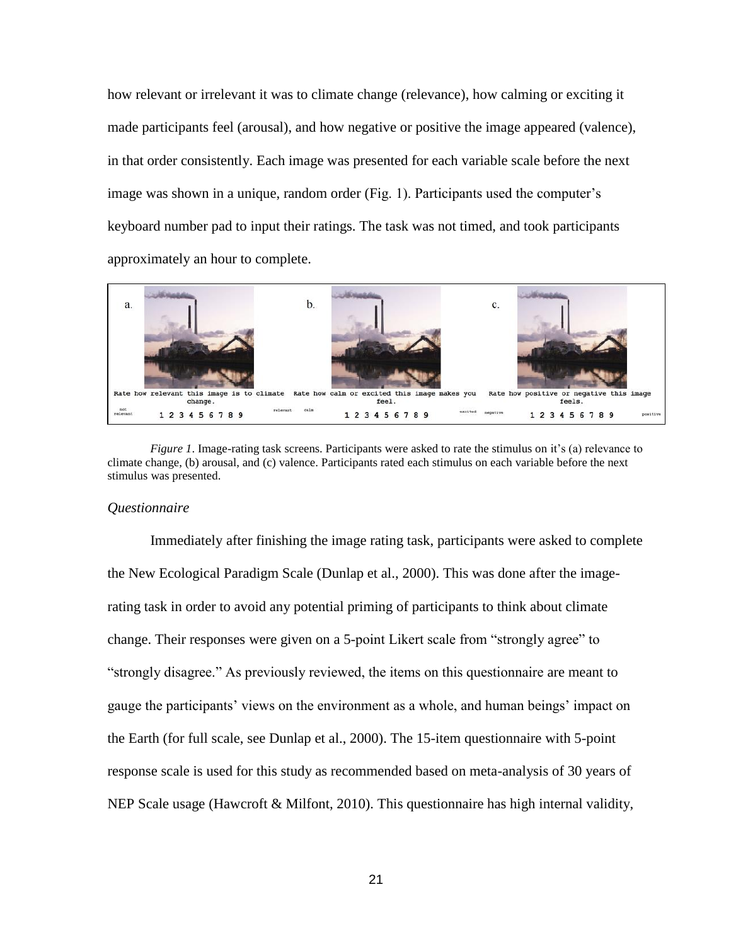how relevant or irrelevant it was to climate change (relevance), how calming or exciting it made participants feel (arousal), and how negative or positive the image appeared (valence), in that order consistently. Each image was presented for each variable scale before the next image was shown in a unique, random order (Fig. 1). Participants used the computer's keyboard number pad to input their ratings. The task was not timed, and took participants approximately an hour to complete.



*Figure 1*. Image-rating task screens. Participants were asked to rate the stimulus on it's (a) relevance to climate change, (b) arousal, and (c) valence. Participants rated each stimulus on each variable before the next stimulus was presented.

#### *Questionnaire*

Immediately after finishing the image rating task, participants were asked to complete the New Ecological Paradigm Scale (Dunlap et al., 2000). This was done after the imagerating task in order to avoid any potential priming of participants to think about climate change. Their responses were given on a 5-point Likert scale from "strongly agree" to "strongly disagree." As previously reviewed, the items on this questionnaire are meant to gauge the participants' views on the environment as a whole, and human beings' impact on the Earth (for full scale, see Dunlap et al., 2000). The 15-item questionnaire with 5-point response scale is used for this study as recommended based on meta-analysis of 30 years of NEP Scale usage (Hawcroft & Milfont, 2010). This questionnaire has high internal validity,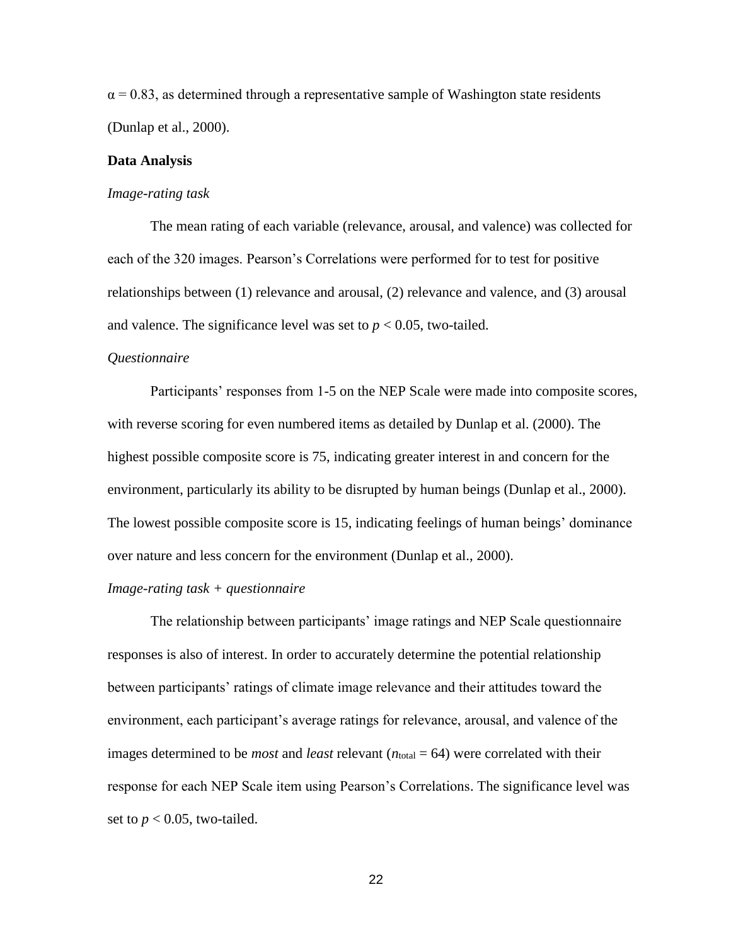$\alpha$  = 0.83, as determined through a representative sample of Washington state residents (Dunlap et al., 2000).

#### **Data Analysis**

#### *Image-rating task*

The mean rating of each variable (relevance, arousal, and valence) was collected for each of the 320 images. Pearson's Correlations were performed for to test for positive relationships between (1) relevance and arousal, (2) relevance and valence, and (3) arousal and valence. The significance level was set to  $p < 0.05$ , two-tailed.

#### *Questionnaire*

Participants' responses from 1-5 on the NEP Scale were made into composite scores, with reverse scoring for even numbered items as detailed by Dunlap et al. (2000). The highest possible composite score is 75, indicating greater interest in and concern for the environment, particularly its ability to be disrupted by human beings (Dunlap et al., 2000). The lowest possible composite score is 15, indicating feelings of human beings' dominance over nature and less concern for the environment (Dunlap et al., 2000).

#### *Image-rating task + questionnaire*

The relationship between participants' image ratings and NEP Scale questionnaire responses is also of interest. In order to accurately determine the potential relationship between participants' ratings of climate image relevance and their attitudes toward the environment, each participant's average ratings for relevance, arousal, and valence of the images determined to be *most* and *least* relevant  $(n_{total} = 64)$  were correlated with their response for each NEP Scale item using Pearson's Correlations. The significance level was set to  $p < 0.05$ , two-tailed.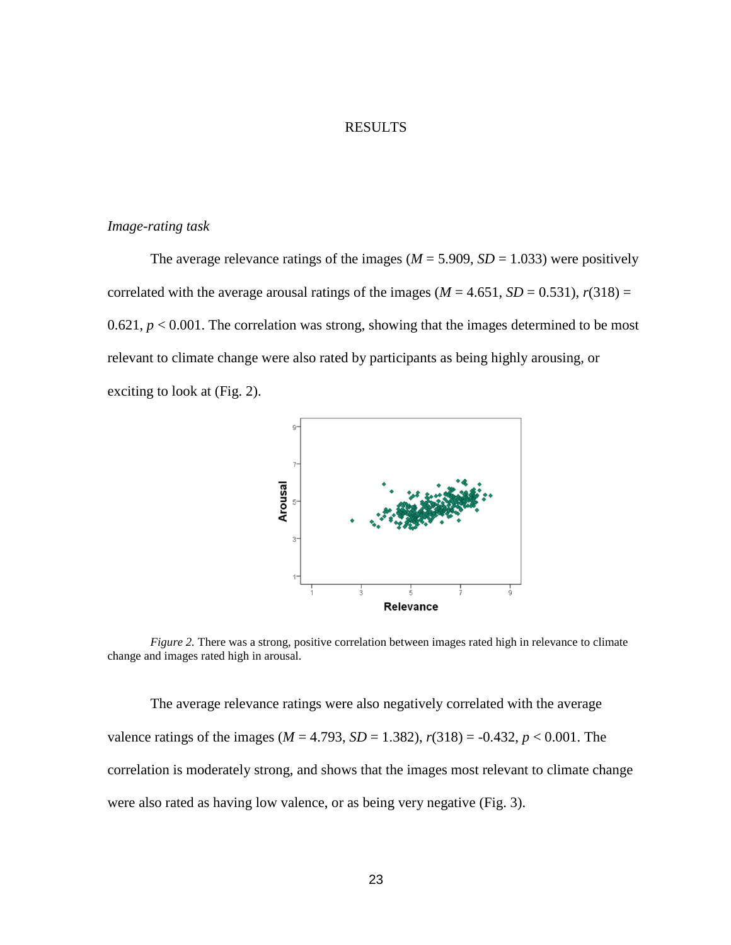#### RESULTS

#### *Image-rating task*

The average relevance ratings of the images ( $M = 5.909$ ,  $SD = 1.033$ ) were positively correlated with the average arousal ratings of the images ( $M = 4.651$ ,  $SD = 0.531$ ),  $r(318) =$ 0.621,  $p < 0.001$ . The correlation was strong, showing that the images determined to be most relevant to climate change were also rated by participants as being highly arousing, or exciting to look at (Fig. 2).



*Figure 2.* There was a strong, positive correlation between images rated high in relevance to climate change and images rated high in arousal.

The average relevance ratings were also negatively correlated with the average valence ratings of the images ( $M = 4.793$ ,  $SD = 1.382$ ),  $r(318) = -0.432$ ,  $p < 0.001$ . The correlation is moderately strong, and shows that the images most relevant to climate change were also rated as having low valence, or as being very negative (Fig. 3).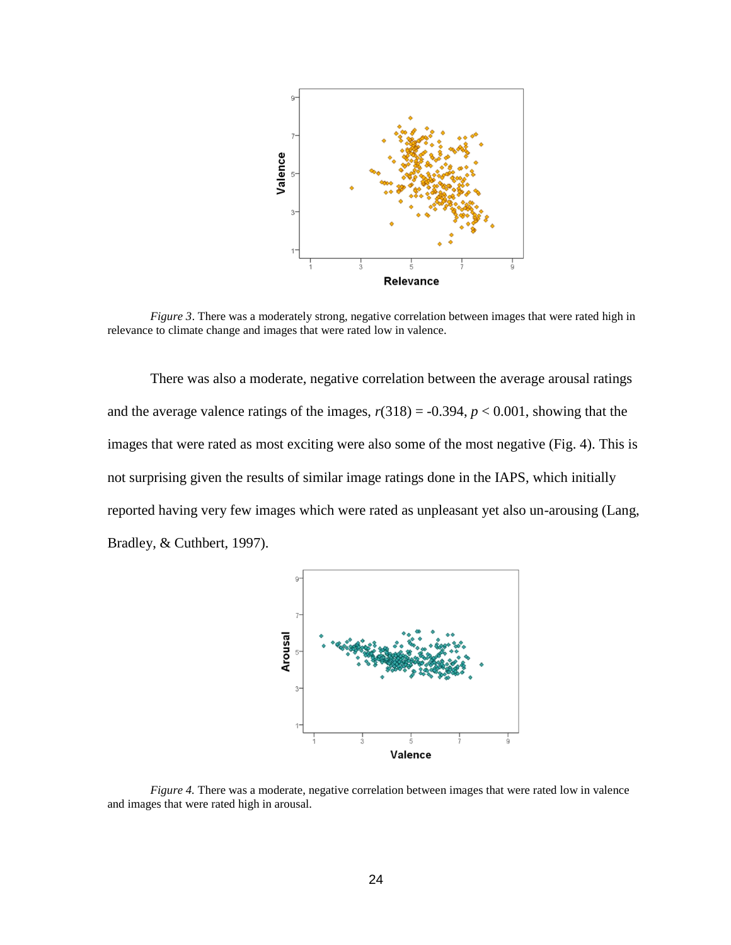

*Figure 3*. There was a moderately strong, negative correlation between images that were rated high in relevance to climate change and images that were rated low in valence.

There was also a moderate, negative correlation between the average arousal ratings and the average valence ratings of the images,  $r(318) = -0.394$ ,  $p < 0.001$ , showing that the images that were rated as most exciting were also some of the most negative (Fig. 4). This is not surprising given the results of similar image ratings done in the IAPS, which initially reported having very few images which were rated as unpleasant yet also un-arousing (Lang, Bradley, & Cuthbert, 1997).



*Figure 4.* There was a moderate, negative correlation between images that were rated low in valence and images that were rated high in arousal.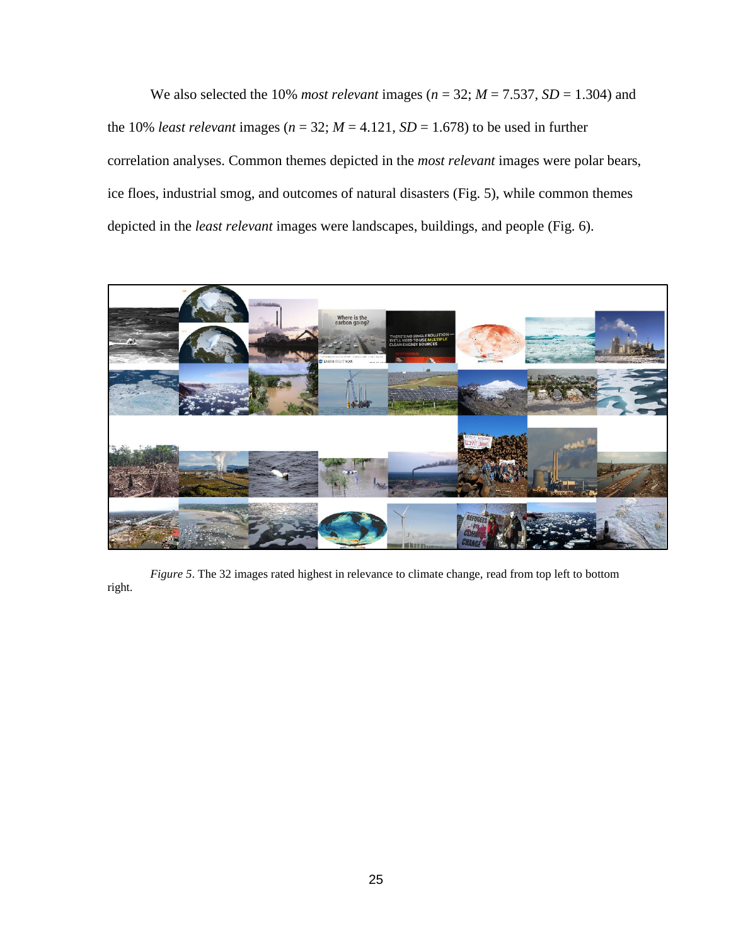We also selected the 10% *most relevant* images ( $n = 32$ ;  $M = 7.537$ ,  $SD = 1.304$ ) and the 10% *least relevant* images ( $n = 32$ ;  $M = 4.121$ ,  $SD = 1.678$ ) to be used in further correlation analyses. Common themes depicted in the *most relevant* images were polar bears, ice floes, industrial smog, and outcomes of natural disasters (Fig. 5), while common themes depicted in the *least relevant* images were landscapes, buildings, and people (Fig. 6).



*Figure 5*. The 32 images rated highest in relevance to climate change, read from top left to bottom right.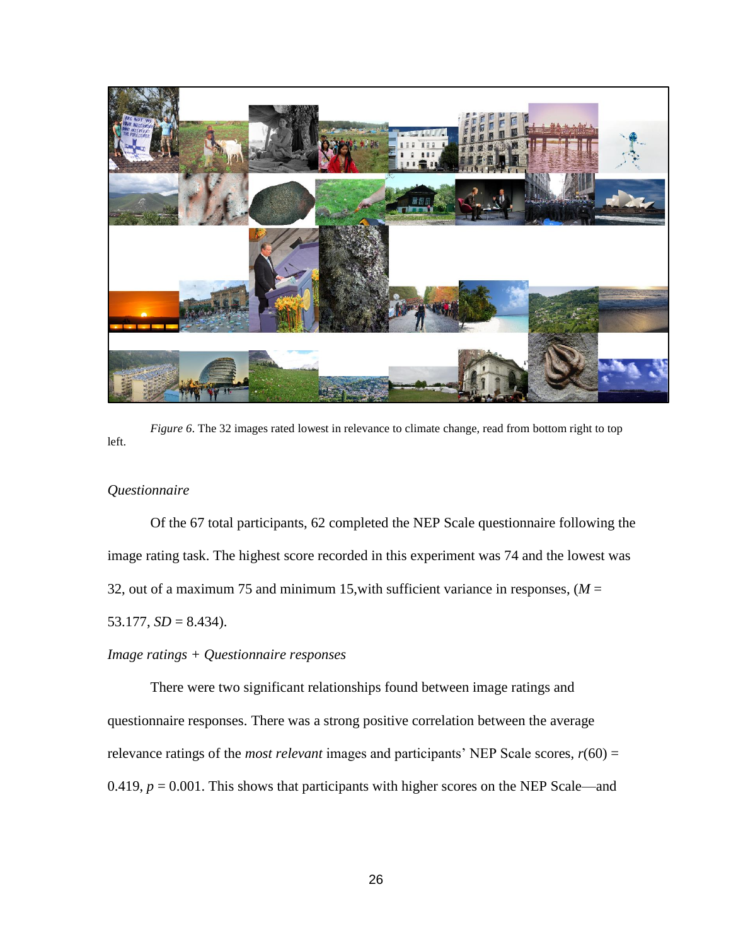

*Figure 6*. The 32 images rated lowest in relevance to climate change, read from bottom right to top left.

#### *Questionnaire*

Of the 67 total participants, 62 completed the NEP Scale questionnaire following the image rating task. The highest score recorded in this experiment was 74 and the lowest was 32, out of a maximum 75 and minimum 15, with sufficient variance in responses,  $(M =$ 53.177,  $SD = 8.434$ ).

#### *Image ratings + Questionnaire responses*

There were two significant relationships found between image ratings and questionnaire responses. There was a strong positive correlation between the average relevance ratings of the *most relevant* images and participants' NEP Scale scores, *r*(60) = 0.419,  $p = 0.001$ . This shows that participants with higher scores on the NEP Scale—and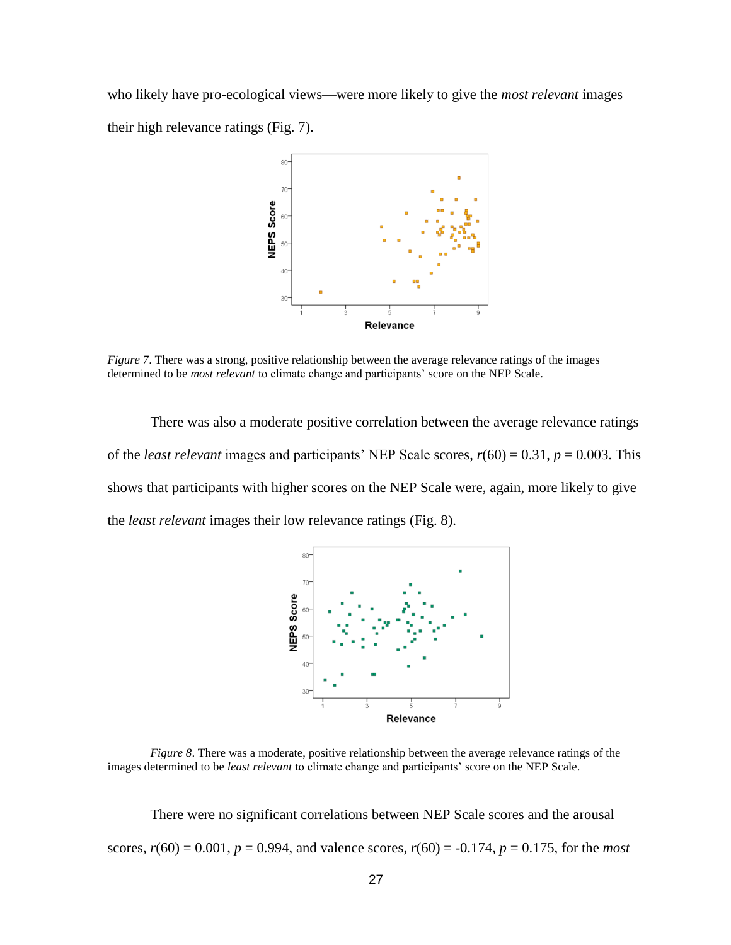who likely have pro-ecological views—were more likely to give the *most relevant* images their high relevance ratings (Fig. 7).



*Figure 7*. There was a strong, positive relationship between the average relevance ratings of the images determined to be *most relevant* to climate change and participants' score on the NEP Scale.

There was also a moderate positive correlation between the average relevance ratings of the *least relevant* images and participants' NEP Scale scores,  $r(60) = 0.31$ ,  $p = 0.003$ . This shows that participants with higher scores on the NEP Scale were, again, more likely to give the *least relevant* images their low relevance ratings (Fig. 8).



*Figure 8*. There was a moderate, positive relationship between the average relevance ratings of the images determined to be *least relevant* to climate change and participants' score on the NEP Scale.

There were no significant correlations between NEP Scale scores and the arousal scores,  $r(60) = 0.001$ ,  $p = 0.994$ , and valence scores,  $r(60) = -0.174$ ,  $p = 0.175$ , for the *most*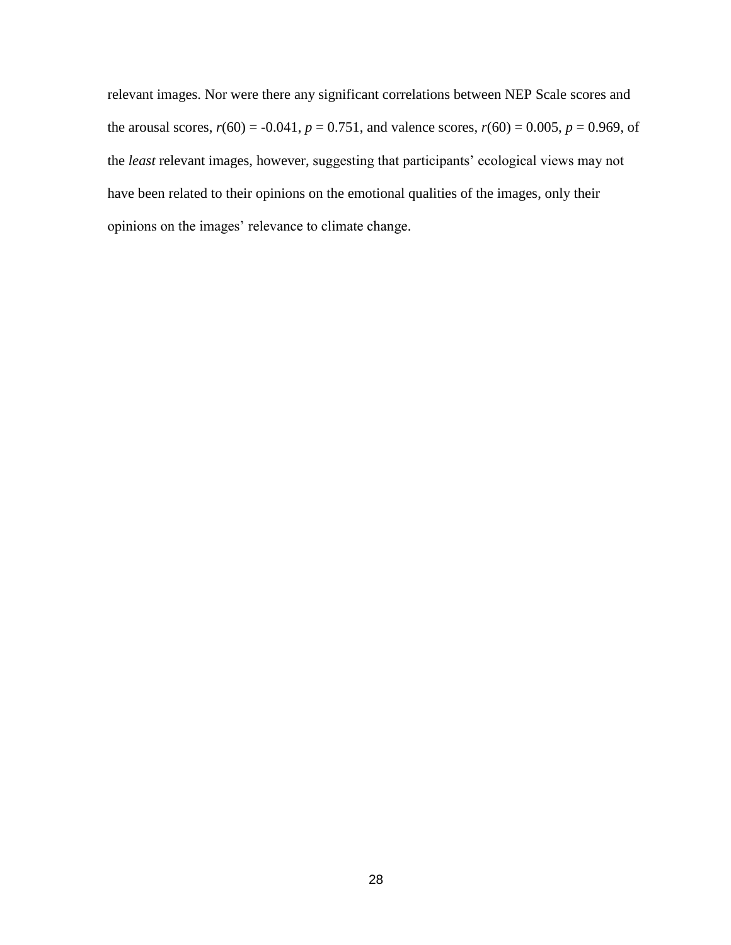relevant images. Nor were there any significant correlations between NEP Scale scores and the arousal scores,  $r(60) = -0.041$ ,  $p = 0.751$ , and valence scores,  $r(60) = 0.005$ ,  $p = 0.969$ , of the *least* relevant images, however, suggesting that participants' ecological views may not have been related to their opinions on the emotional qualities of the images, only their opinions on the images' relevance to climate change.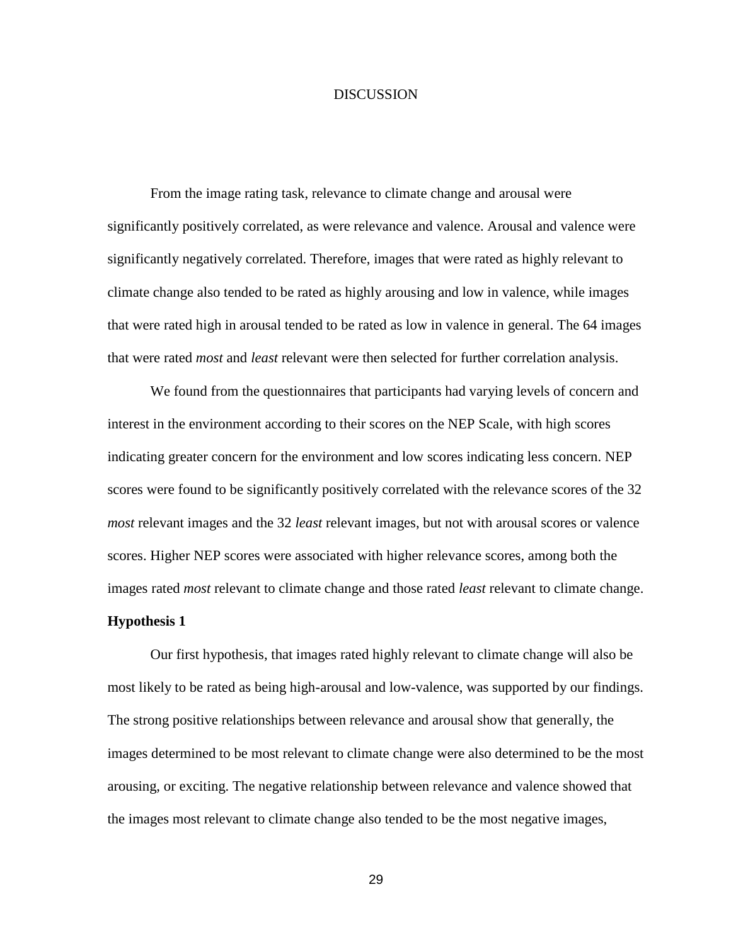#### **DISCUSSION**

From the image rating task, relevance to climate change and arousal were significantly positively correlated, as were relevance and valence. Arousal and valence were significantly negatively correlated. Therefore, images that were rated as highly relevant to climate change also tended to be rated as highly arousing and low in valence, while images that were rated high in arousal tended to be rated as low in valence in general. The 64 images that were rated *most* and *least* relevant were then selected for further correlation analysis.

We found from the questionnaires that participants had varying levels of concern and interest in the environment according to their scores on the NEP Scale, with high scores indicating greater concern for the environment and low scores indicating less concern. NEP scores were found to be significantly positively correlated with the relevance scores of the 32 *most* relevant images and the 32 *least* relevant images, but not with arousal scores or valence scores. Higher NEP scores were associated with higher relevance scores, among both the images rated *most* relevant to climate change and those rated *least* relevant to climate change.

#### **Hypothesis 1**

Our first hypothesis, that images rated highly relevant to climate change will also be most likely to be rated as being high-arousal and low-valence, was supported by our findings. The strong positive relationships between relevance and arousal show that generally, the images determined to be most relevant to climate change were also determined to be the most arousing, or exciting. The negative relationship between relevance and valence showed that the images most relevant to climate change also tended to be the most negative images,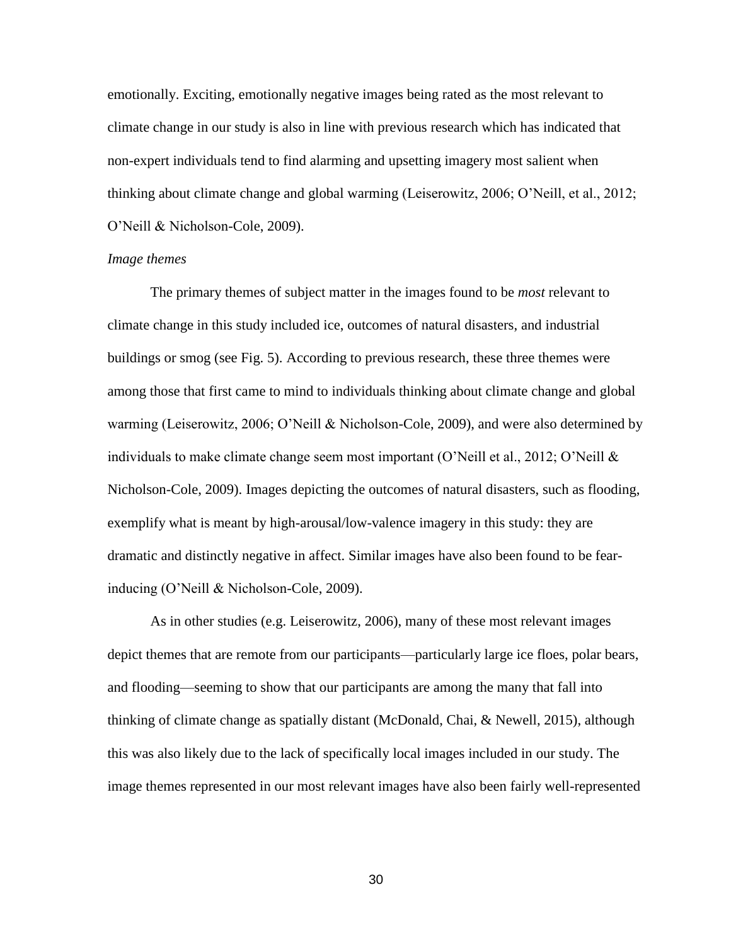emotionally. Exciting, emotionally negative images being rated as the most relevant to climate change in our study is also in line with previous research which has indicated that non-expert individuals tend to find alarming and upsetting imagery most salient when thinking about climate change and global warming (Leiserowitz, 2006; O'Neill, et al., 2012; O'Neill & Nicholson-Cole, 2009).

#### *Image themes*

The primary themes of subject matter in the images found to be *most* relevant to climate change in this study included ice, outcomes of natural disasters, and industrial buildings or smog (see Fig. 5). According to previous research, these three themes were among those that first came to mind to individuals thinking about climate change and global warming (Leiserowitz, 2006; O'Neill & Nicholson-Cole, 2009), and were also determined by individuals to make climate change seem most important (O'Neill et al., 2012; O'Neill  $\&$ Nicholson-Cole, 2009). Images depicting the outcomes of natural disasters, such as flooding, exemplify what is meant by high-arousal/low-valence imagery in this study: they are dramatic and distinctly negative in affect. Similar images have also been found to be fearinducing (O'Neill & Nicholson-Cole, 2009).

As in other studies (e.g. Leiserowitz, 2006), many of these most relevant images depict themes that are remote from our participants—particularly large ice floes, polar bears, and flooding—seeming to show that our participants are among the many that fall into thinking of climate change as spatially distant (McDonald, Chai, & Newell, 2015), although this was also likely due to the lack of specifically local images included in our study. The image themes represented in our most relevant images have also been fairly well-represented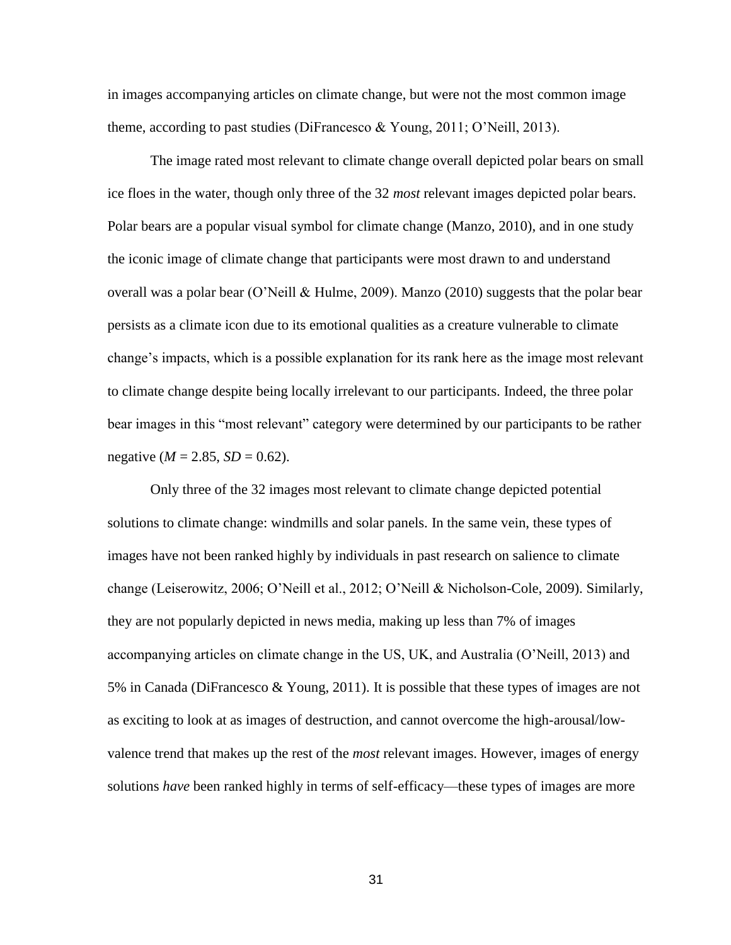in images accompanying articles on climate change, but were not the most common image theme, according to past studies (DiFrancesco & Young, 2011; O'Neill, 2013).

The image rated most relevant to climate change overall depicted polar bears on small ice floes in the water, though only three of the 32 *most* relevant images depicted polar bears. Polar bears are a popular visual symbol for climate change (Manzo, 2010), and in one study the iconic image of climate change that participants were most drawn to and understand overall was a polar bear (O'Neill & Hulme, 2009). Manzo (2010) suggests that the polar bear persists as a climate icon due to its emotional qualities as a creature vulnerable to climate change's impacts, which is a possible explanation for its rank here as the image most relevant to climate change despite being locally irrelevant to our participants. Indeed, the three polar bear images in this "most relevant" category were determined by our participants to be rather negative ( $M = 2.85$ ,  $SD = 0.62$ ).

Only three of the 32 images most relevant to climate change depicted potential solutions to climate change: windmills and solar panels. In the same vein, these types of images have not been ranked highly by individuals in past research on salience to climate change (Leiserowitz, 2006; O'Neill et al., 2012; O'Neill & Nicholson-Cole, 2009). Similarly, they are not popularly depicted in news media, making up less than 7% of images accompanying articles on climate change in the US, UK, and Australia (O'Neill, 2013) and 5% in Canada (DiFrancesco & Young, 2011). It is possible that these types of images are not as exciting to look at as images of destruction, and cannot overcome the high-arousal/lowvalence trend that makes up the rest of the *most* relevant images. However, images of energy solutions *have* been ranked highly in terms of self-efficacy—these types of images are more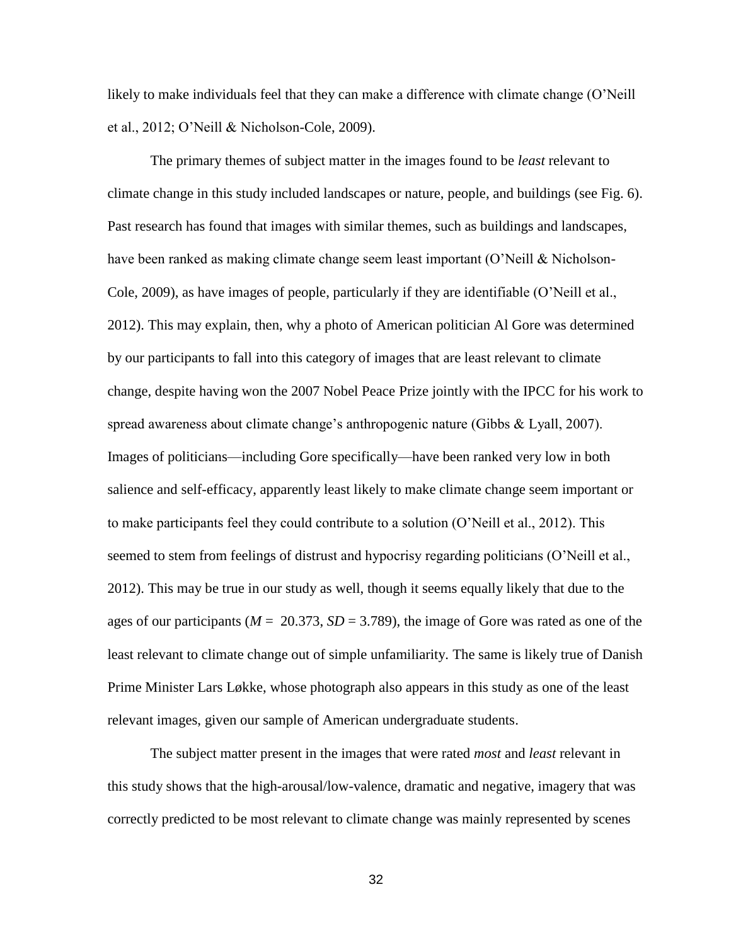likely to make individuals feel that they can make a difference with climate change (O'Neill et al., 2012; O'Neill & Nicholson-Cole, 2009).

The primary themes of subject matter in the images found to be *least* relevant to climate change in this study included landscapes or nature, people, and buildings (see Fig. 6). Past research has found that images with similar themes, such as buildings and landscapes, have been ranked as making climate change seem least important (O'Neill & Nicholson-Cole, 2009), as have images of people, particularly if they are identifiable (O'Neill et al., 2012). This may explain, then, why a photo of American politician Al Gore was determined by our participants to fall into this category of images that are least relevant to climate change, despite having won the 2007 Nobel Peace Prize jointly with the IPCC for his work to spread awareness about climate change's anthropogenic nature (Gibbs & Lyall, 2007). Images of politicians—including Gore specifically—have been ranked very low in both salience and self-efficacy, apparently least likely to make climate change seem important or to make participants feel they could contribute to a solution (O'Neill et al., 2012). This seemed to stem from feelings of distrust and hypocrisy regarding politicians (O'Neill et al., 2012). This may be true in our study as well, though it seems equally likely that due to the ages of our participants ( $M = 20.373$ ,  $SD = 3.789$ ), the image of Gore was rated as one of the least relevant to climate change out of simple unfamiliarity. The same is likely true of Danish Prime Minister Lars Løkke, whose photograph also appears in this study as one of the least relevant images, given our sample of American undergraduate students.

The subject matter present in the images that were rated *most* and *least* relevant in this study shows that the high-arousal/low-valence, dramatic and negative, imagery that was correctly predicted to be most relevant to climate change was mainly represented by scenes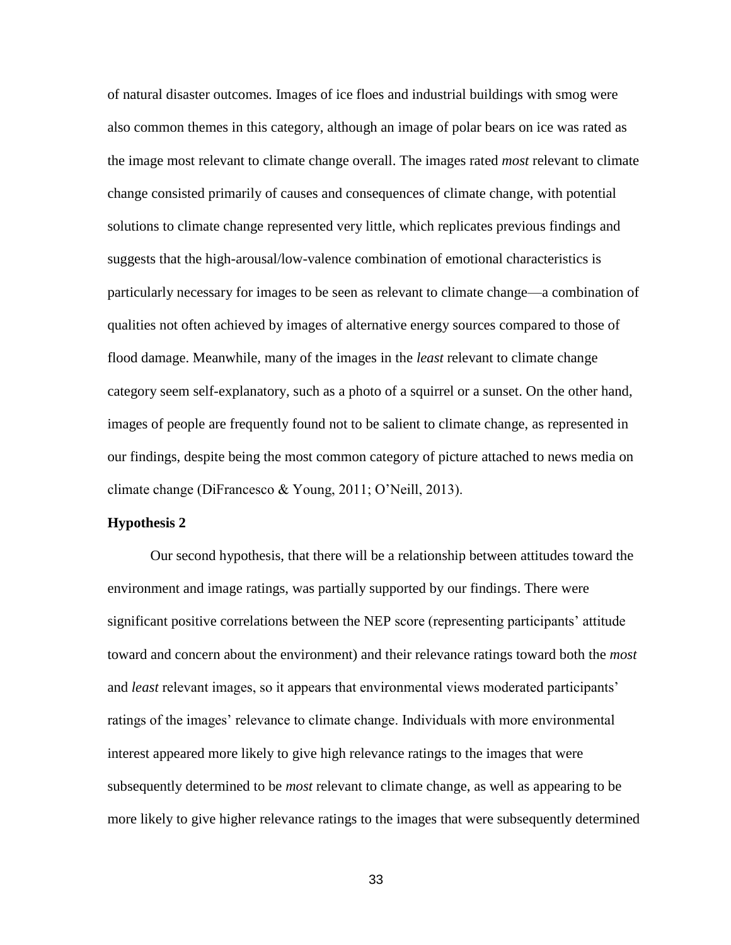of natural disaster outcomes. Images of ice floes and industrial buildings with smog were also common themes in this category, although an image of polar bears on ice was rated as the image most relevant to climate change overall. The images rated *most* relevant to climate change consisted primarily of causes and consequences of climate change, with potential solutions to climate change represented very little, which replicates previous findings and suggests that the high-arousal/low-valence combination of emotional characteristics is particularly necessary for images to be seen as relevant to climate change—a combination of qualities not often achieved by images of alternative energy sources compared to those of flood damage. Meanwhile, many of the images in the *least* relevant to climate change category seem self-explanatory, such as a photo of a squirrel or a sunset. On the other hand, images of people are frequently found not to be salient to climate change, as represented in our findings, despite being the most common category of picture attached to news media on climate change (DiFrancesco & Young, 2011; O'Neill, 2013).

#### **Hypothesis 2**

Our second hypothesis, that there will be a relationship between attitudes toward the environment and image ratings, was partially supported by our findings. There were significant positive correlations between the NEP score (representing participants' attitude toward and concern about the environment) and their relevance ratings toward both the *most* and *least* relevant images, so it appears that environmental views moderated participants' ratings of the images' relevance to climate change. Individuals with more environmental interest appeared more likely to give high relevance ratings to the images that were subsequently determined to be *most* relevant to climate change, as well as appearing to be more likely to give higher relevance ratings to the images that were subsequently determined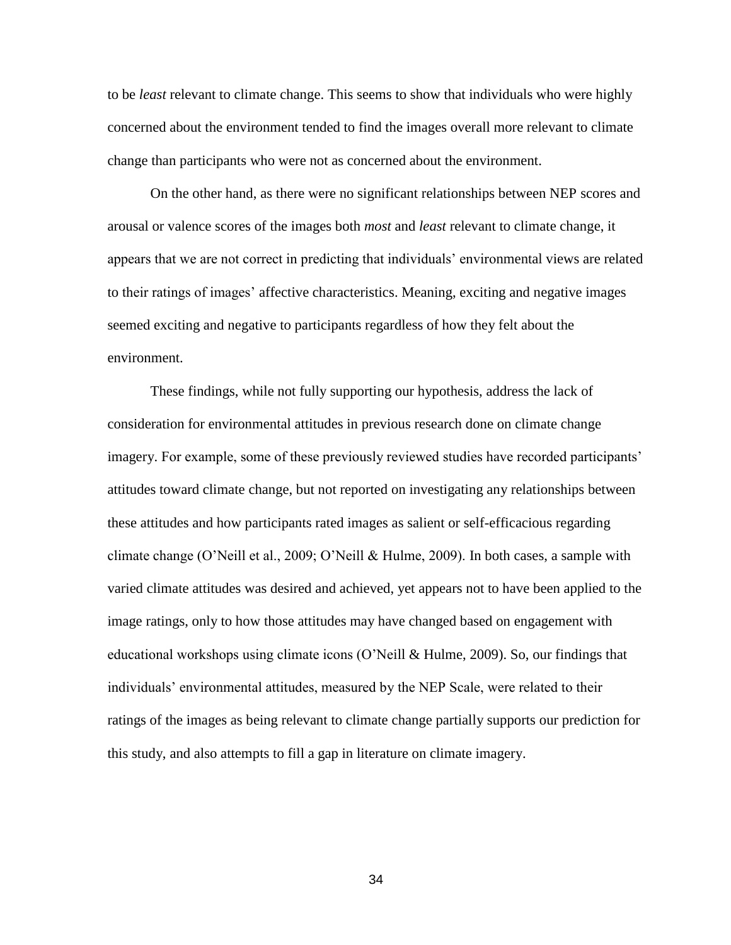to be *least* relevant to climate change. This seems to show that individuals who were highly concerned about the environment tended to find the images overall more relevant to climate change than participants who were not as concerned about the environment.

On the other hand, as there were no significant relationships between NEP scores and arousal or valence scores of the images both *most* and *least* relevant to climate change, it appears that we are not correct in predicting that individuals' environmental views are related to their ratings of images' affective characteristics. Meaning, exciting and negative images seemed exciting and negative to participants regardless of how they felt about the environment.

These findings, while not fully supporting our hypothesis, address the lack of consideration for environmental attitudes in previous research done on climate change imagery. For example, some of these previously reviewed studies have recorded participants' attitudes toward climate change, but not reported on investigating any relationships between these attitudes and how participants rated images as salient or self-efficacious regarding climate change (O'Neill et al., 2009; O'Neill & Hulme, 2009). In both cases, a sample with varied climate attitudes was desired and achieved, yet appears not to have been applied to the image ratings, only to how those attitudes may have changed based on engagement with educational workshops using climate icons (O'Neill & Hulme, 2009). So, our findings that individuals' environmental attitudes, measured by the NEP Scale, were related to their ratings of the images as being relevant to climate change partially supports our prediction for this study, and also attempts to fill a gap in literature on climate imagery.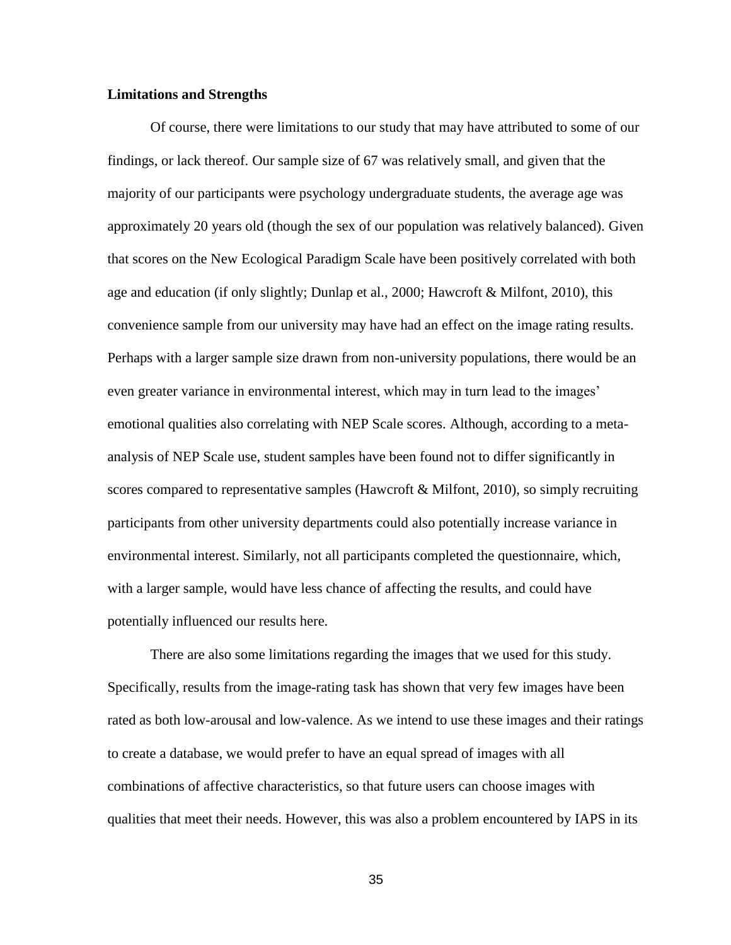#### **Limitations and Strengths**

Of course, there were limitations to our study that may have attributed to some of our findings, or lack thereof. Our sample size of 67 was relatively small, and given that the majority of our participants were psychology undergraduate students, the average age was approximately 20 years old (though the sex of our population was relatively balanced). Given that scores on the New Ecological Paradigm Scale have been positively correlated with both age and education (if only slightly; Dunlap et al., 2000; Hawcroft & Milfont, 2010), this convenience sample from our university may have had an effect on the image rating results. Perhaps with a larger sample size drawn from non-university populations, there would be an even greater variance in environmental interest, which may in turn lead to the images' emotional qualities also correlating with NEP Scale scores. Although, according to a metaanalysis of NEP Scale use, student samples have been found not to differ significantly in scores compared to representative samples (Hawcroft & Milfont, 2010), so simply recruiting participants from other university departments could also potentially increase variance in environmental interest. Similarly, not all participants completed the questionnaire, which, with a larger sample, would have less chance of affecting the results, and could have potentially influenced our results here.

There are also some limitations regarding the images that we used for this study. Specifically, results from the image-rating task has shown that very few images have been rated as both low-arousal and low-valence. As we intend to use these images and their ratings to create a database, we would prefer to have an equal spread of images with all combinations of affective characteristics, so that future users can choose images with qualities that meet their needs. However, this was also a problem encountered by IAPS in its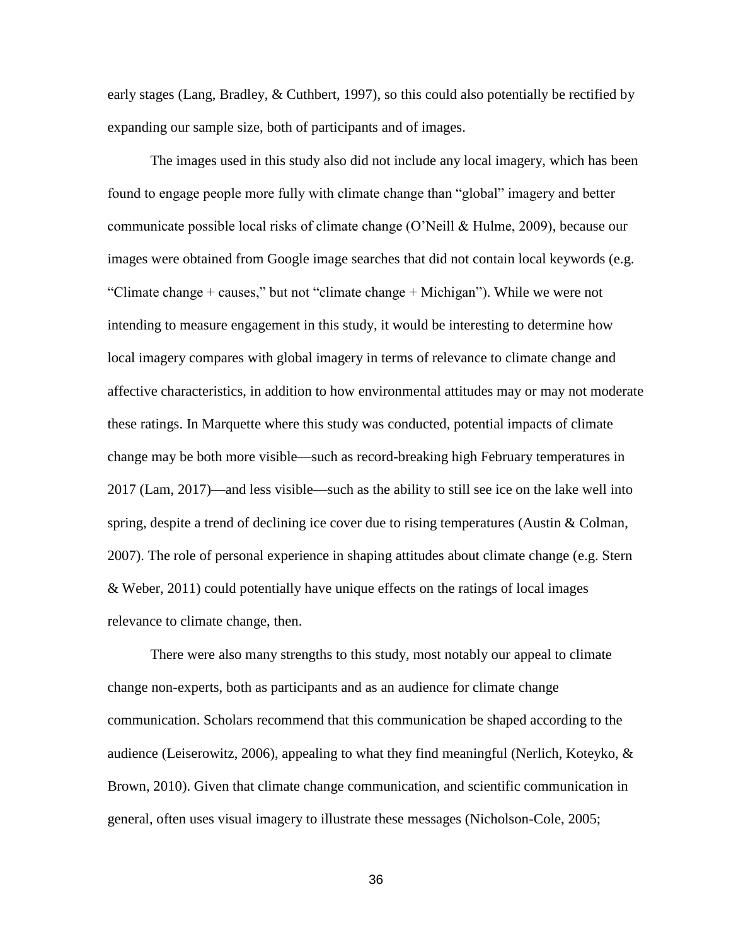early stages (Lang, Bradley, & Cuthbert, 1997), so this could also potentially be rectified by expanding our sample size, both of participants and of images.

The images used in this study also did not include any local imagery, which has been found to engage people more fully with climate change than "global" imagery and better communicate possible local risks of climate change (O'Neill & Hulme, 2009), because our images were obtained from Google image searches that did not contain local keywords (e.g. "Climate change + causes," but not "climate change + Michigan"). While we were not intending to measure engagement in this study, it would be interesting to determine how local imagery compares with global imagery in terms of relevance to climate change and affective characteristics, in addition to how environmental attitudes may or may not moderate these ratings. In Marquette where this study was conducted, potential impacts of climate change may be both more visible—such as record-breaking high February temperatures in 2017 (Lam, 2017)—and less visible—such as the ability to still see ice on the lake well into spring, despite a trend of declining ice cover due to rising temperatures (Austin & Colman, 2007). The role of personal experience in shaping attitudes about climate change (e.g. Stern & Weber, 2011) could potentially have unique effects on the ratings of local images relevance to climate change, then.

There were also many strengths to this study, most notably our appeal to climate change non-experts, both as participants and as an audience for climate change communication. Scholars recommend that this communication be shaped according to the audience (Leiserowitz, 2006), appealing to what they find meaningful (Nerlich, Koteyko,  $\&$ Brown, 2010). Given that climate change communication, and scientific communication in general, often uses visual imagery to illustrate these messages (Nicholson-Cole, 2005;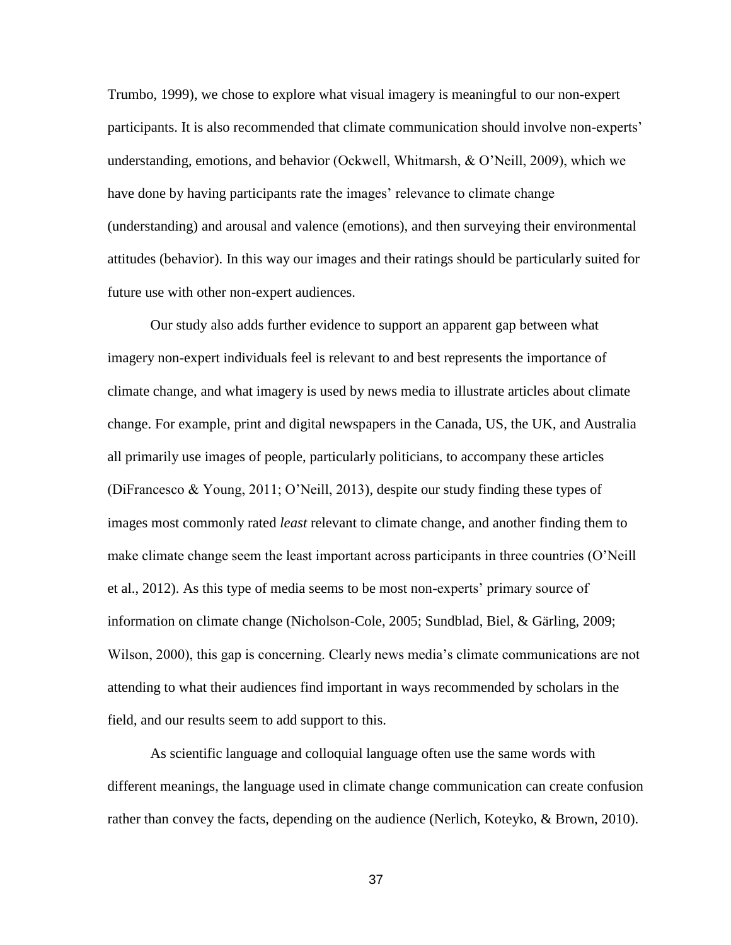Trumbo, 1999), we chose to explore what visual imagery is meaningful to our non-expert participants. It is also recommended that climate communication should involve non-experts' understanding, emotions, and behavior (Ockwell, Whitmarsh, & O'Neill, 2009), which we have done by having participants rate the images' relevance to climate change (understanding) and arousal and valence (emotions), and then surveying their environmental attitudes (behavior). In this way our images and their ratings should be particularly suited for future use with other non-expert audiences.

Our study also adds further evidence to support an apparent gap between what imagery non-expert individuals feel is relevant to and best represents the importance of climate change, and what imagery is used by news media to illustrate articles about climate change. For example, print and digital newspapers in the Canada, US, the UK, and Australia all primarily use images of people, particularly politicians, to accompany these articles (DiFrancesco & Young, 2011; O'Neill, 2013), despite our study finding these types of images most commonly rated *least* relevant to climate change, and another finding them to make climate change seem the least important across participants in three countries (O'Neill et al., 2012). As this type of media seems to be most non-experts' primary source of information on climate change (Nicholson-Cole, 2005; Sundblad, Biel, & Gärling, 2009; Wilson, 2000), this gap is concerning. Clearly news media's climate communications are not attending to what their audiences find important in ways recommended by scholars in the field, and our results seem to add support to this.

As scientific language and colloquial language often use the same words with different meanings, the language used in climate change communication can create confusion rather than convey the facts, depending on the audience (Nerlich, Koteyko, & Brown, 2010).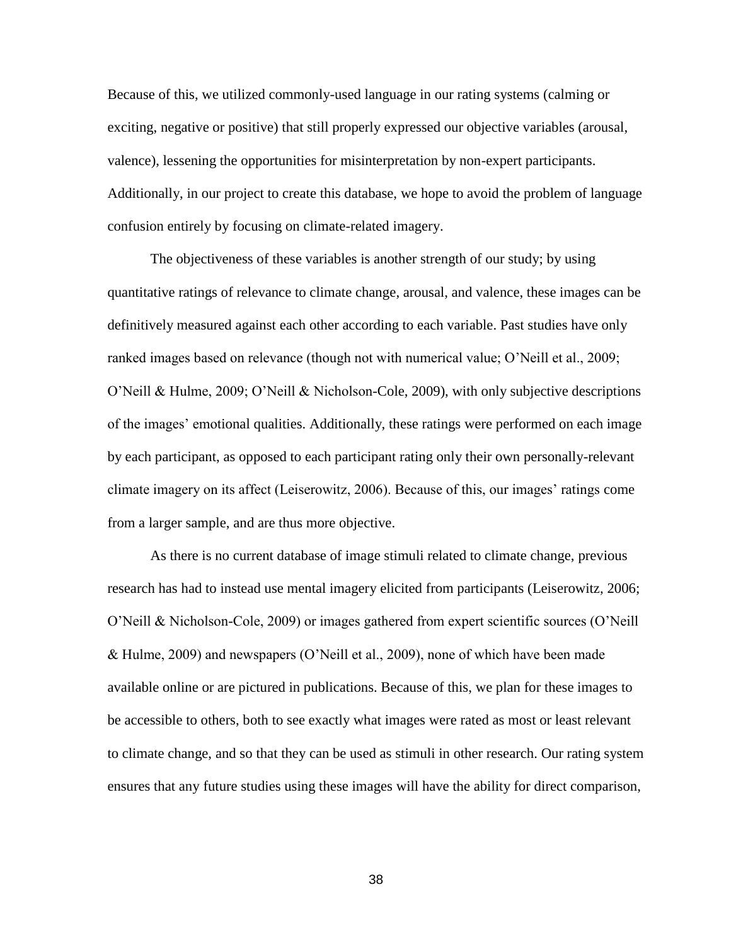Because of this, we utilized commonly-used language in our rating systems (calming or exciting, negative or positive) that still properly expressed our objective variables (arousal, valence), lessening the opportunities for misinterpretation by non-expert participants. Additionally, in our project to create this database, we hope to avoid the problem of language confusion entirely by focusing on climate-related imagery.

The objectiveness of these variables is another strength of our study; by using quantitative ratings of relevance to climate change, arousal, and valence, these images can be definitively measured against each other according to each variable. Past studies have only ranked images based on relevance (though not with numerical value; O'Neill et al., 2009; O'Neill & Hulme, 2009; O'Neill & Nicholson-Cole, 2009), with only subjective descriptions of the images' emotional qualities. Additionally, these ratings were performed on each image by each participant, as opposed to each participant rating only their own personally-relevant climate imagery on its affect (Leiserowitz, 2006). Because of this, our images' ratings come from a larger sample, and are thus more objective.

As there is no current database of image stimuli related to climate change, previous research has had to instead use mental imagery elicited from participants (Leiserowitz, 2006; O'Neill & Nicholson-Cole, 2009) or images gathered from expert scientific sources (O'Neill & Hulme, 2009) and newspapers (O'Neill et al., 2009), none of which have been made available online or are pictured in publications. Because of this, we plan for these images to be accessible to others, both to see exactly what images were rated as most or least relevant to climate change, and so that they can be used as stimuli in other research. Our rating system ensures that any future studies using these images will have the ability for direct comparison,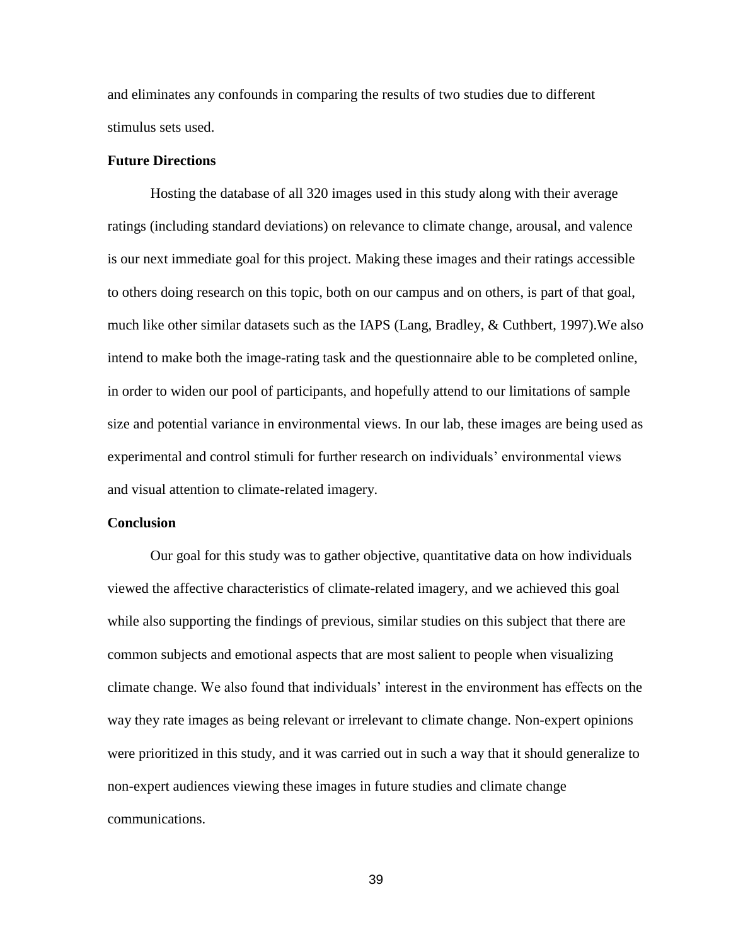and eliminates any confounds in comparing the results of two studies due to different stimulus sets used.

#### **Future Directions**

Hosting the database of all 320 images used in this study along with their average ratings (including standard deviations) on relevance to climate change, arousal, and valence is our next immediate goal for this project. Making these images and their ratings accessible to others doing research on this topic, both on our campus and on others, is part of that goal, much like other similar datasets such as the IAPS (Lang, Bradley, & Cuthbert, 1997).We also intend to make both the image-rating task and the questionnaire able to be completed online, in order to widen our pool of participants, and hopefully attend to our limitations of sample size and potential variance in environmental views. In our lab, these images are being used as experimental and control stimuli for further research on individuals' environmental views and visual attention to climate-related imagery.

#### **Conclusion**

Our goal for this study was to gather objective, quantitative data on how individuals viewed the affective characteristics of climate-related imagery, and we achieved this goal while also supporting the findings of previous, similar studies on this subject that there are common subjects and emotional aspects that are most salient to people when visualizing climate change. We also found that individuals' interest in the environment has effects on the way they rate images as being relevant or irrelevant to climate change. Non-expert opinions were prioritized in this study, and it was carried out in such a way that it should generalize to non-expert audiences viewing these images in future studies and climate change communications.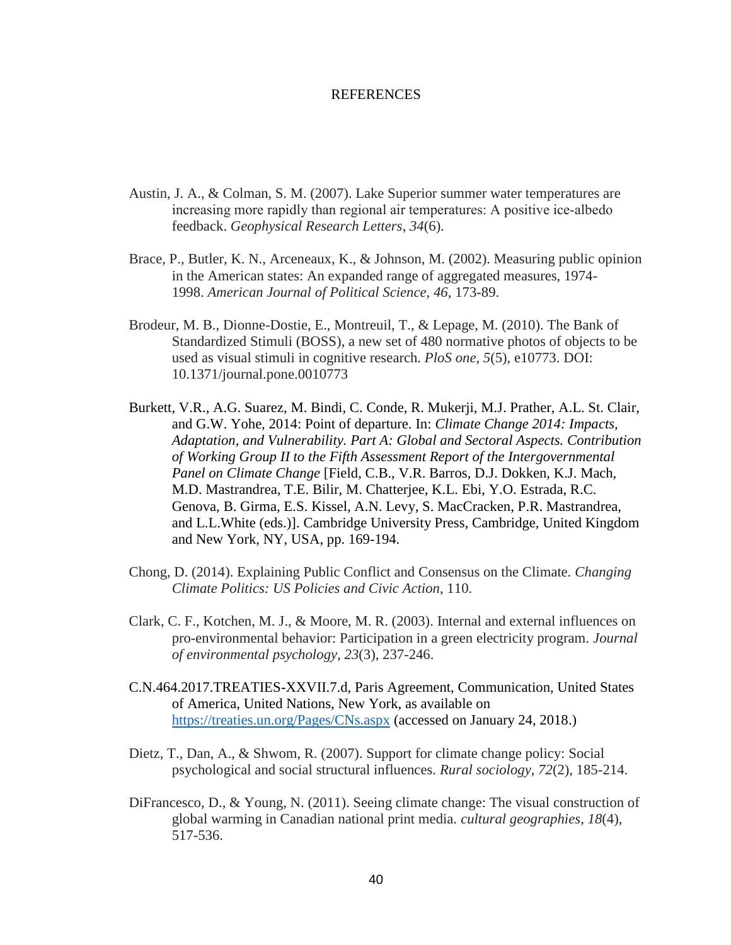#### REFERENCES

- Austin, J. A., & Colman, S. M. (2007). Lake Superior summer water temperatures are increasing more rapidly than regional air temperatures: A positive ice-albedo feedback. *Geophysical Research Letters*, *34*(6).
- Brace, P., Butler, K. N., Arceneaux, K., & Johnson, M. (2002). Measuring public opinion in the American states: An expanded range of aggregated measures, 1974- 1998. *American Journal of Political Science*, *46*, 173-89.
- Brodeur, M. B., Dionne-Dostie, E., Montreuil, T., & Lepage, M. (2010). The Bank of Standardized Stimuli (BOSS), a new set of 480 normative photos of objects to be used as visual stimuli in cognitive research. *PloS one*, *5*(5), e10773. DOI: 10.1371/journal.pone.0010773
- Burkett, V.R., A.G. Suarez, M. Bindi, C. Conde, R. Mukerji, M.J. Prather, A.L. St. Clair, and G.W. Yohe, 2014: Point of departure. In: *Climate Change 2014: Impacts, Adaptation, and Vulnerability. Part A: Global and Sectoral Aspects. Contribution of Working Group II to the Fifth Assessment Report of the Intergovernmental Panel on Climate Change* [Field, C.B., V.R. Barros, D.J. Dokken, K.J. Mach, M.D. Mastrandrea, T.E. Bilir, M. Chatterjee, K.L. Ebi, Y.O. Estrada, R.C. Genova, B. Girma, E.S. Kissel, A.N. Levy, S. MacCracken, P.R. Mastrandrea, and L.L.White (eds.)]. Cambridge University Press, Cambridge, United Kingdom and New York, NY, USA, pp. 169-194.
- Chong, D. (2014). Explaining Public Conflict and Consensus on the Climate. *Changing Climate Politics: US Policies and Civic Action*, 110.
- Clark, C. F., Kotchen, M. J., & Moore, M. R. (2003). Internal and external influences on pro-environmental behavior: Participation in a green electricity program. *Journal of environmental psychology*, *23*(3), 237-246.
- C.N.464.2017.TREATIES-XXVII.7.d, Paris Agreement, Communication, United States of America, United Nations, New York, as available on <https://treaties.un.org/Pages/CNs.aspx> (accessed on January 24, 2018.)
- Dietz, T., Dan, A., & Shwom, R. (2007). Support for climate change policy: Social psychological and social structural influences. *Rural sociology*, *72*(2), 185-214.
- DiFrancesco, D., & Young, N. (2011). Seeing climate change: The visual construction of global warming in Canadian national print media. *cultural geographies*, *18*(4), 517-536.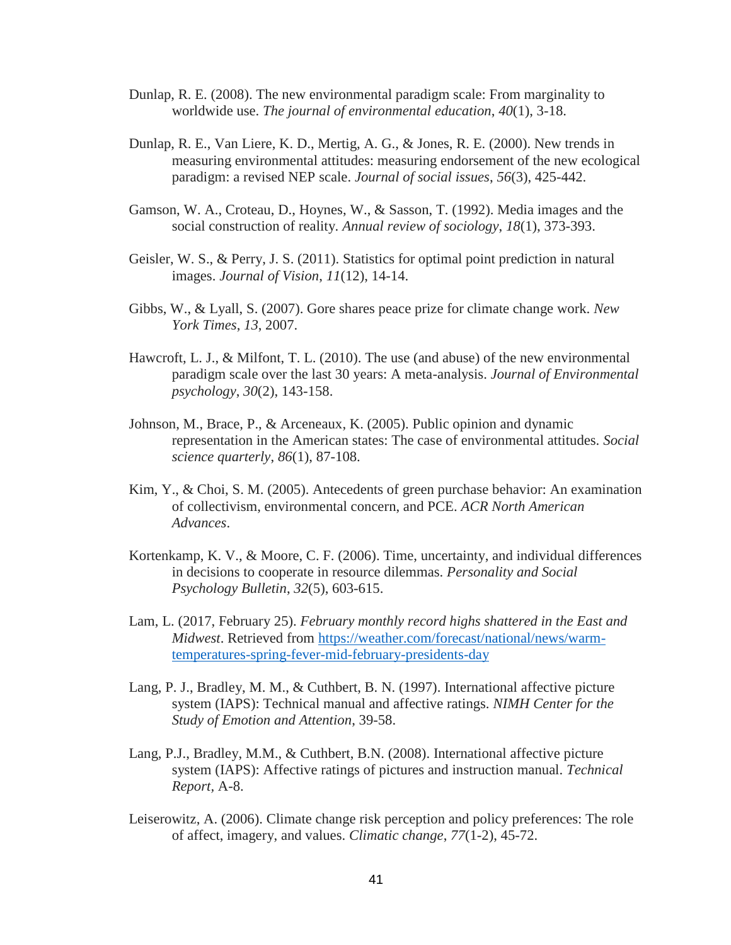- Dunlap, R. E. (2008). The new environmental paradigm scale: From marginality to worldwide use. *The journal of environmental education*, *40*(1), 3-18.
- Dunlap, R. E., Van Liere, K. D., Mertig, A. G., & Jones, R. E. (2000). New trends in measuring environmental attitudes: measuring endorsement of the new ecological paradigm: a revised NEP scale. *Journal of social issues*, *56*(3), 425-442.
- Gamson, W. A., Croteau, D., Hoynes, W., & Sasson, T. (1992). Media images and the social construction of reality. *Annual review of sociology*, *18*(1), 373-393.
- Geisler, W. S., & Perry, J. S. (2011). Statistics for optimal point prediction in natural images. *Journal of Vision*, *11*(12), 14-14.
- Gibbs, W., & Lyall, S. (2007). Gore shares peace prize for climate change work. *New York Times*, *13*, 2007.
- Hawcroft, L. J., & Milfont, T. L. (2010). The use (and abuse) of the new environmental paradigm scale over the last 30 years: A meta-analysis. *Journal of Environmental psychology*, *30*(2), 143-158.
- Johnson, M., Brace, P., & Arceneaux, K. (2005). Public opinion and dynamic representation in the American states: The case of environmental attitudes. *Social science quarterly*, *86*(1), 87-108.
- Kim, Y., & Choi, S. M. (2005). Antecedents of green purchase behavior: An examination of collectivism, environmental concern, and PCE. *ACR North American Advances*.
- Kortenkamp, K. V., & Moore, C. F. (2006). Time, uncertainty, and individual differences in decisions to cooperate in resource dilemmas. *Personality and Social Psychology Bulletin*, *32*(5), 603-615.
- Lam, L. (2017, February 25). *February monthly record highs shattered in the East and Midwest*. Retrieved from [https://weather.com/forecast/national/news/warm](https://weather.com/forecast/national/news/warm-temperatures-spring-fever-mid-february-presidents-day)[temperatures-spring-fever-mid-february-presidents-day](https://weather.com/forecast/national/news/warm-temperatures-spring-fever-mid-february-presidents-day)
- Lang, P. J., Bradley, M. M., & Cuthbert, B. N. (1997). International affective picture system (IAPS): Technical manual and affective ratings. *NIMH Center for the Study of Emotion and Attention*, 39-58.
- Lang, P.J., Bradley, M.M., & Cuthbert, B.N. (2008). International affective picture system (IAPS): Affective ratings of pictures and instruction manual. *Technical Report,* A-8.
- Leiserowitz, A. (2006). Climate change risk perception and policy preferences: The role of affect, imagery, and values. *Climatic change*, *77*(1-2), 45-72.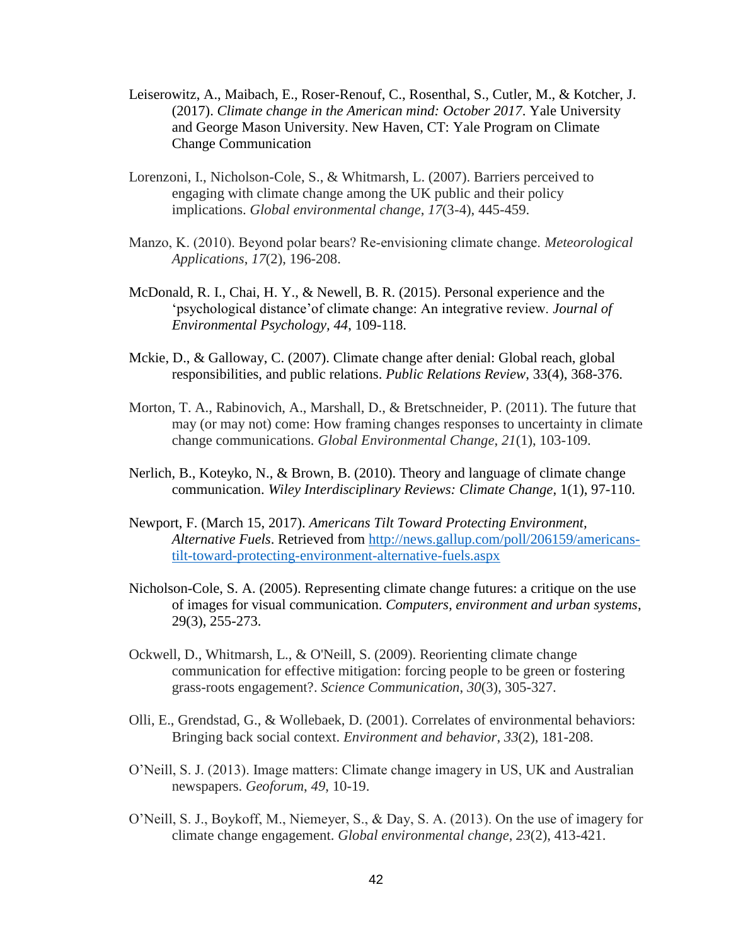- Leiserowitz, A., Maibach, E., Roser-Renouf, C., Rosenthal, S., Cutler, M., & Kotcher, J. (2017). *Climate change in the American mind: October 2017*. Yale University and George Mason University. New Haven, CT: Yale Program on Climate Change Communication
- Lorenzoni, I., Nicholson-Cole, S., & Whitmarsh, L. (2007). Barriers perceived to engaging with climate change among the UK public and their policy implications. *Global environmental change*, *17*(3-4), 445-459.
- Manzo, K. (2010). Beyond polar bears? Re‐envisioning climate change. *Meteorological Applications*, *17*(2), 196-208.
- McDonald, R. I., Chai, H. Y., & Newell, B. R. (2015). Personal experience and the 'psychological distance'of climate change: An integrative review. *Journal of Environmental Psychology, 44*, 109-118.
- Mckie, D., & Galloway, C. (2007). Climate change after denial: Global reach, global responsibilities, and public relations. *Public Relations Review*, 33(4), 368-376.
- Morton, T. A., Rabinovich, A., Marshall, D., & Bretschneider, P. (2011). The future that may (or may not) come: How framing changes responses to uncertainty in climate change communications. *Global Environmental Change*, *21*(1), 103-109.
- Nerlich, B., Koteyko, N., & Brown, B. (2010). Theory and language of climate change communication. *Wiley Interdisciplinary Reviews: Climate Change*, 1(1), 97-110.
- Newport, F. (March 15, 2017). *Americans Tilt Toward Protecting Environment, Alternative Fuels*. Retrieved from [http://news.gallup.com/poll/206159/americans](http://news.gallup.com/poll/206159/americans-tilt-toward-protecting-environment-alternative-fuels.aspx)[tilt-toward-protecting-environment-alternative-fuels.aspx](http://news.gallup.com/poll/206159/americans-tilt-toward-protecting-environment-alternative-fuels.aspx)
- Nicholson-Cole, S. A. (2005). Representing climate change futures: a critique on the use of images for visual communication. *Computers, environment and urban systems*, 29(3), 255-273.
- Ockwell, D., Whitmarsh, L., & O'Neill, S. (2009). Reorienting climate change communication for effective mitigation: forcing people to be green or fostering grass-roots engagement?. *Science Communication*, *30*(3), 305-327.
- Olli, E., Grendstad, G., & Wollebaek, D. (2001). Correlates of environmental behaviors: Bringing back social context. *Environment and behavior*, *33*(2), 181-208.
- O'Neill, S. J. (2013). Image matters: Climate change imagery in US, UK and Australian newspapers. *Geoforum*, *49*, 10-19.
- O'Neill, S. J., Boykoff, M., Niemeyer, S., & Day, S. A. (2013). On the use of imagery for climate change engagement. *Global environmental change*, *23*(2), 413-421.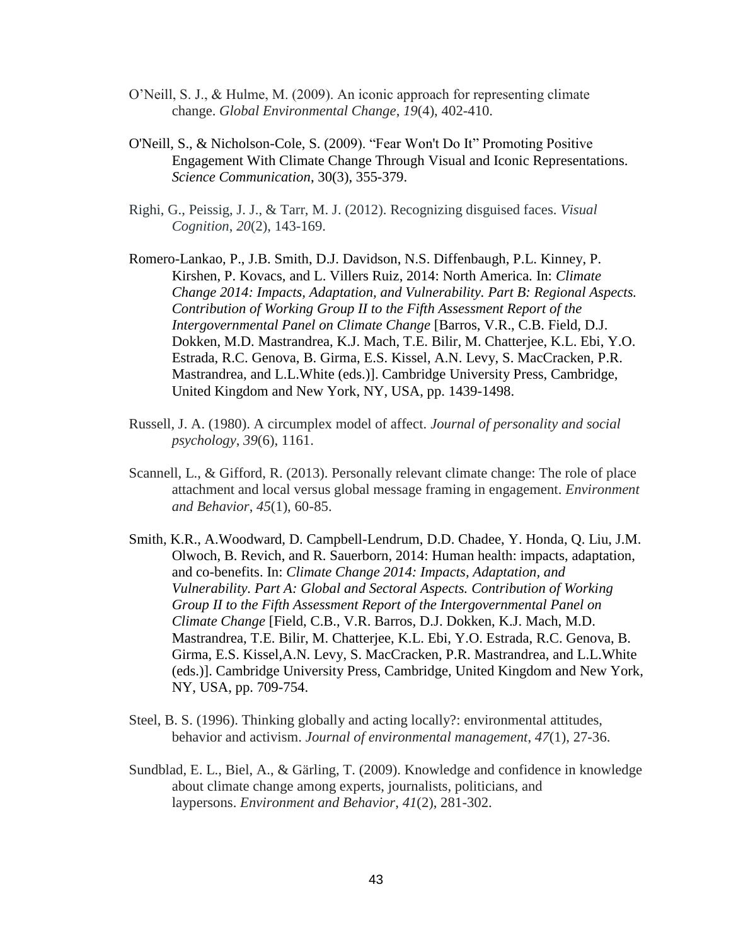- O'Neill, S. J., & Hulme, M. (2009). An iconic approach for representing climate change. *Global Environmental Change*, *19*(4), 402-410.
- O'Neill, S., & Nicholson-Cole, S. (2009). "Fear Won't Do It" Promoting Positive Engagement With Climate Change Through Visual and Iconic Representations. *Science Communication*, 30(3), 355-379.
- Righi, G., Peissig, J. J., & Tarr, M. J. (2012). Recognizing disguised faces. *Visual Cognition*, *20*(2), 143-169.
- Romero-Lankao, P., J.B. Smith, D.J. Davidson, N.S. Diffenbaugh, P.L. Kinney, P. Kirshen, P. Kovacs, and L. Villers Ruiz, 2014: North America. In: *Climate Change 2014: Impacts, Adaptation, and Vulnerability. Part B: Regional Aspects. Contribution of Working Group II to the Fifth Assessment Report of the Intergovernmental Panel on Climate Change* [Barros, V.R., C.B. Field, D.J. Dokken, M.D. Mastrandrea, K.J. Mach, T.E. Bilir, M. Chatterjee, K.L. Ebi, Y.O. Estrada, R.C. Genova, B. Girma, E.S. Kissel, A.N. Levy, S. MacCracken, P.R. Mastrandrea, and L.L.White (eds.)]. Cambridge University Press, Cambridge, United Kingdom and New York, NY, USA, pp. 1439-1498.
- Russell, J. A. (1980). A circumplex model of affect. *Journal of personality and social psychology*, *39*(6), 1161.
- Scannell, L., & Gifford, R. (2013). Personally relevant climate change: The role of place attachment and local versus global message framing in engagement. *Environment and Behavior*, *45*(1), 60-85.
- Smith, K.R., A.Woodward, D. Campbell-Lendrum, D.D. Chadee, Y. Honda, Q. Liu, J.M. Olwoch, B. Revich, and R. Sauerborn, 2014: Human health: impacts, adaptation, and co-benefits. In: *Climate Change 2014: Impacts, Adaptation, and Vulnerability. Part A: Global and Sectoral Aspects. Contribution of Working Group II to the Fifth Assessment Report of the Intergovernmental Panel on Climate Change* [Field, C.B., V.R. Barros, D.J. Dokken, K.J. Mach, M.D. Mastrandrea, T.E. Bilir, M. Chatterjee, K.L. Ebi, Y.O. Estrada, R.C. Genova, B. Girma, E.S. Kissel,A.N. Levy, S. MacCracken, P.R. Mastrandrea, and L.L.White (eds.)]. Cambridge University Press, Cambridge, United Kingdom and New York, NY, USA, pp. 709-754.
- Steel, B. S. (1996). Thinking globally and acting locally?: environmental attitudes, behavior and activism. *Journal of environmental management*, *47*(1), 27-36.
- Sundblad, E. L., Biel, A., & Gärling, T. (2009). Knowledge and confidence in knowledge about climate change among experts, journalists, politicians, and laypersons. *Environment and Behavior*, *41*(2), 281-302.